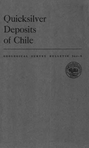# Quicksilver Deposits of Chile

**GEOLOGICAL SURVEY BULLETIN 964-E**

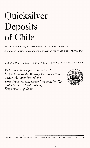# **Ouicksilver Deposits** of Chile

*By* J. F. McALLISTER, HECTOR FLORES W., *and* CARLOS RUIZ F.

GEOLOGIC INVESTIGATIONS IN THE AMERICAN REPUBLICS, 1949

GEOLOGICAL SURVEY BULLETIN 964-E

*Published in cooperation with the Departamento de Minas y Petroleo, Chile, under the auspices of the Interdepartmental Committee on Scientific and Cultural Cooperation, Department of State*

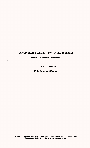#### **UNITED STATES DEPARTMENT OF THE INTERIOR**

**Oscar L. Chapman,** *Secretary*

#### **GEOLOGICAL SURVEY**

**W. E. Wrather,** *Director*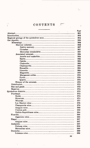# $\overline{C}$  ONTENTS  $\mathbb{C}^{\mathbb{C}^{\mathrm{nc}}}$

i,  $\overline{1}$ 

|                          | Mercurian tetrahedrite                                   |
|--------------------------|----------------------------------------------------------|
|                          |                                                          |
|                          | Azurite and malachite----------------------------------- |
|                          |                                                          |
|                          |                                                          |
|                          |                                                          |
|                          |                                                          |
|                          |                                                          |
|                          |                                                          |
|                          |                                                          |
|                          |                                                          |
|                          |                                                          |
|                          |                                                          |
|                          |                                                          |
|                          |                                                          |
|                          |                                                          |
|                          |                                                          |
|                          |                                                          |
|                          |                                                          |
|                          |                                                          |
|                          |                                                          |
|                          |                                                          |
|                          |                                                          |
|                          |                                                          |
|                          |                                                          |
|                          |                                                          |
|                          |                                                          |
| Delirio-Republicana mine |                                                          |
|                          |                                                          |
|                          |                                                          |
|                          |                                                          |
|                          |                                                          |
|                          |                                                          |
|                          |                                                          |
|                          |                                                          |
|                          |                                                          |
|                          |                                                          |
|                          |                                                          |

l,

٦.

 $\boldsymbol{\beta}$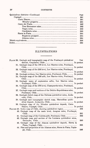| . TA                            | <b>CONTENTS</b> |      |
|---------------------------------|-----------------|------|
| Quicksilver districts—Continued |                 | Page |
|                                 |                 | 391  |
|                                 |                 | 391  |
|                                 |                 | 391  |
|                                 |                 | 392  |
|                                 |                 | 392  |
|                                 |                 | 392  |
|                                 |                 | 393  |
|                                 |                 | 394  |
|                                 |                 | 394  |
|                                 |                 | 394  |
|                                 |                 | 398  |
|                                 |                 | 399  |
|                                 |                 |      |

# ILLUSTRATIONS

 $\overline{a}$ 

| PLATE 20. Geologic and topographic map of the Punitaqui quicksilver                                                                                                                                                                                                                                                                                                                                  | Page      |
|------------------------------------------------------------------------------------------------------------------------------------------------------------------------------------------------------------------------------------------------------------------------------------------------------------------------------------------------------------------------------------------------------|-----------|
| 21. Geologic map of the 170 level, Los Mantos mine, Punitaqui,                                                                                                                                                                                                                                                                                                                                       | In pocket |
| 22. Geologic map of the 250 level, Los Mantos mine, Punitaqui,                                                                                                                                                                                                                                                                                                                                       |           |
| 23. Geologic sections, Los Mantos mine, Punitaqui, Chile.  In pocket<br>24. Geologic map of the 330 adit, Los Mantos mine, Punitaqui,                                                                                                                                                                                                                                                                |           |
| 25. Geologic maps of exploration adits, Los Mantos mine,                                                                                                                                                                                                                                                                                                                                             | In pocket |
| 26. Geologic map of the 370 level, Champurria mine, Punitaqui,                                                                                                                                                                                                                                                                                                                                       |           |
| 27. Geologic maps and sections of the Delirio-Republicana mine,                                                                                                                                                                                                                                                                                                                                      |           |
| 28. Geologic sketch map of the Dichosa quicksilver mine, Anda-                                                                                                                                                                                                                                                                                                                                       | In pocket |
| collo, Chile <sub>nn</sub> , $\frac{1}{2}$ , $\frac{1}{2}$ , $\frac{1}{2}$ , $\frac{1}{2}$ , $\frac{1}{2}$ , $\frac{1}{2}$ , $\frac{1}{2}$ , $\frac{1}{2}$ , $\frac{1}{2}$ , $\frac{1}{2}$ , $\frac{1}{2}$ , $\frac{1}{2}$ , $\frac{1}{2}$ , $\frac{1}{2}$ , $\frac{1}{2}$ , $\frac{1}{2}$ , $\frac{1}{2}$ , $\frac{1}{2}$ , $\frac{1$<br>29. Geologic and topographic sketch map, Merceditas quick- |           |
| 30. Geologic map of the Mirador quicksilver deposit, Cerro                                                                                                                                                                                                                                                                                                                                           |           |
| Blanco, Copiapó, Chile <sub>----------------------------</sub> In pocket<br>FIGURE 39. Index map of Chile, showing quicksilver region _____________                                                                                                                                                                                                                                                  | 362       |
| 40. Geologic map of the main level, Azogues mine, Punitaqui,<br>Chile____________________<br>.                                                                                                                                                                                                                                                                                                       | 381       |
| 41. Geologic map of the Culebra adit, Punitaqui, Chile<br>42. Geologic map and section of the Luisiana quicksilver mine,                                                                                                                                                                                                                                                                             | 383       |
|                                                                                                                                                                                                                                                                                                                                                                                                      | 390       |
| 43. Geologic map of the Alianza quicksilver deposit, Sierra la<br>Plata, Copiapó, Chile                                                                                                                                                                                                                                                                                                              | 395       |
| 44. Plan and projection of the Alianza mine, Sierra la Plata, Copia-                                                                                                                                                                                                                                                                                                                                 | 396       |

l,

 $\ddot{\phantom{0}}$ 

 $\ddot{\phantom{a}}$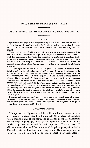#### **QUICKSILVER DEPOSITS OF CHILE**

BY J. F. MCALLISTER, HÉCTOR FLORES W., and CARLOS RUIZ F.

#### **ABSTRACT**

Quicksilver has been mined intermittently in Chile since the end of the 18th century, but only in small quantities for local use until recently, when the large mine at Punitaqui started producing an average of 2,000 flasks annually for export.

The deposits, most of which are small, are in a narrow strip about 500 kilometers long, extending from Copiapó to Illapel, in north-central Chile. They are with few exceptions in the Porfiritica formation, consisting of Mesozoic andesitic rocks, and are generally near intrusive bodies of granodiorite, which is a facies of the Andean diorite complex. Most of the ore was localized in shattered and crushed zones along steep faults, some of which were formed by strike-slip shearing.

The principal ore minerals are coarse-grained cinnabar, mercurian tetrahedrite, and powdery cinnabar mixed with oxides of iron and antimony in the weathered veins. The mercurian tetrahedrite and powdery cinnabar are the most characteristic minerals of the deposits. A little native mercury occurs in places. The coarse-grained cinnabar and mercurian tetrahedrite are hypogene minerals, and the powdery cinnabar mixture, which is closely associated with copper carbonates and limonite, is of supergene origin, having been formed by the weathering of the mercurian tetrahedrite. Vein minerals associated with the mercury minerals are, roughly in the order of deposition: calcite, specular hematite, magnetite, barite, quartz, pyrite, chalcopyrite, chalcocite, and products of weathering such as azurite, malachite, and limonite. Some of the pyrite encloses gold.

Reserves had been measured at only one mine, wher\*e exploitation of mercury depended on profitable extraction of gold and copper. Reserves even of inferred ore at other places in Chile are small and economically marginal. The quicksilver districts are described in detail.

#### **INTRODUCTION**

The quicksilver deposits of Chile, with few known exceptions, lie within a narrow strip extending for about 500 kilometers; at the north end is Copiapó, and at the south end is Illapel, about 200 kilometers airline north of Santiago. Most of the deposits lie nearer to the ends of the strip than to the middle. (See fig. 39.) The northern 100 kilometers contains the Alianza mine and Eegalona prospect in the La Plata district, the Tres Hermanos, Negra, and Candelaria properties in the Cerro del Fraile, and the Mirador property near Cerro Blanco.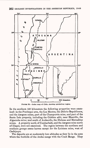

FIGURE 39.-Index map of Chile, showing quicksilver region.

In the southern 150 kilometers the following properties were examined : in the Punitaqui area, the Los Mantos, the Delirio-Bepublicana, and the Azogues mines, part of the Champurria mine, and part of the Santa Inés property, including the Culebra adit; near Huanillo, the Algarrobo mine; and south of Andacollo, the Dichosa and Merceditas mines. A property north of Combarbala, and the Azogues mine north of Illapel, were not examined. The region between the northern and southern groups seems barren except for the Luisiana mine, west of Cachiyuyo.

The deposits are at moderately low altitudes as they lie in the zone where the foothills of the Andes merge with the Coast Range. They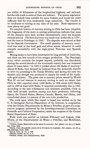are within 50 kilometers of the longitudinal highway and railroad, but the side roads to some of them are indirect. The sparse vegetation does not include trees suitable for mine timbers, and would not yield sufficient fuel for even moderately large operations. The climate is no hindrance to mining at any time of the year. Eock exposures at most places are good.

No complete history of mercury mining in Chile has been compiled, but fragments of the story in mining publications indicate that some of the deposits have been worked intermittently since the Spanish colonial period. The first discovery was made near Andacollo in 1778 1, and the next at Punitaqui in 1785.<sup>2</sup> The deposits were mined at first by the Spanish Government. The small quantity of mercury recovered was used at the local gold and silver mines, whenever it could compete successfully with the high-priced Peruvian and Spanish metal.

Mining seems to have been interrupted by long periods of inactivity, and there are few records of the meager production. The Punitaqui mine, which contains the largest deposit, probably was abandoned during the second decade of the nineteenth century but was reopened about 50 years later;<sup>3</sup> in 1874 it yielded about 800 flasks of mercury.<sup>4</sup> About 60 flasks were shipped by railroad from the Andacollo district in 1918-19, according to  $\overline{S}$ r. Tomás Whittle,<sup>5</sup> and during the next two decades only enough was produced to supply the needs of the Andacollo gold miners. The great rise in mercury prices caused by World War II revived interest in mercury mining to such an extent that Chile in 1941 exported about 1,300 flasks, in 1942 about, 2,300 flasks, and in 1943 at least 2,500 flasks; it exported considerably less in 1944. According to the best information and estimates available, Chile in 1943 held seventh position among non-Axis producers, following Spain, the United States, Mexico, Canada, Kussia, and China, and contributed about 1.4 percent of the non-Axis production.

The work upon which this report is based was carried on by the U. S. Geological Survey, Department of the Interior, in cooperation with the Chilean Departamento de Minas y Petróleo, as part of a cooperative program sponsored by the Interdepartmental Committee on Scientific and Cultural Cooperation, under the auspices of the United States Department of State.

Field work was carried on between February and August, 1944. Flores, of the Departamento de Minas y Petróleo, and McAllister,

<sup>&</sup>lt;sup>1</sup> Whittle, Tomás, Explotación de las minas de mercurio : Bol. minero, vol. 44, p. 3, Santi**ago, Chile, 1932.**

**<sup>2</sup> Kuntz, Julio, Monograffa minera de la Provincia de Coquimbo: Bol. minero, vol. 37, p. 865, Santiago, Chile, 1925.**

**<sup>\*</sup> Kuntz, Julio, op. cit, p. 865.**

**<sup>\*</sup> Whittle, Tomas, op, cit., p. 4.**

**<sup>\*</sup>Whittle, Tomds, oral communication, 1944.**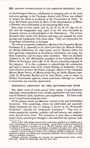of the Geological Survey, collaborated in mapping part of the areal and mine geology in the Punitaqui district until Flores was obliged to resume his duties as professor at the Universidad de Chile. In June, McAllister was joined by Ruiz, of the Departamento de Minas y Petróleo, who collaborated in the remaining field work.

Base maps of some mines (pis. 21, 22, 24, 25, 26, 27; figs. 40, 41, 44) and one topographic map (part of pi. 20) were furnished by property owners, as acknowledged on the illustrations. The writers surveyed other mines with Brunton and tape, and mapped the areal geology and topography with plane table. They are responsible for all geologic information on the maps.

The writers are greatly indebted to officials of the Compania Minera Punitaqui, S. A., especially to Sr. Jose Luis Claro, Sr. Eicardo Fritis, Sr. Moises Silbermann, Sr. Jose Ayala, and Sr. Horacio Gallo, for their generous cooperation in furnishing information and maps, for their hospitality, and for many other courtesies. They are similarly indebted to Sr. Sali Hochschild, president of the Compania Minera Delirio de Punitaqui, and to Mr. O. M. Brown, consulting engineer of the company. It is also a pleasure to acknowledge the cooperation and help in various ways of Sr. Tomás Whittle of Andacollo; of the Toro brothers of Cerro del Fraile, Copiapó; officers of the Compañía Minera Monte Patria; of officials of the Caja de Credito Minero, especially Sr. Fernando Benitez and Sr. Luis Kaiser; and of others in Chilean Government agencies, whose attentions, although too varied to enumerate, are sincerely appreciated.

#### **REGIONAL, GEOLOGY OF THE QUICKSILVER ZONE**

The oldest rocks of north-central Chile consist of pre-Cambrian regionally metamorphosed rocks, chiefly amphibolite and mica schist, and of Paleozoic shale, sandstone, and conglomerate. All these rocks occur in small strips along the coast.6

Of far greater extent are Mesozoic volcanic rocks and interbedded limestones. This assemblage, where not subdivided and especially where limestones are thin or lacking, is known as the "Formación Porfiritica"-literally the "porphyrite formation."<sup>7</sup> This unit includes porphyritic andesite, andesitic tuff and breccia, and conglomerate derived from them. The formation is more than a thousand meters thick, according to Brüggen,<sup>8</sup> who described the igneous rocks

<sup>&</sup>lt;sup>e</sup> Muñoz Cristi, Jorge, Rasgos generales de la constitución geológica de la Cordillera de la Costa, especialmente en la Provincia de Coquimbo : Anales Primer Congreso Panamericano de Ingeniería de Minas y Geología, vol. 2, pp. 290-300, Santiago, Chile, 1942. Reseña de la geologfa de Chile, p. 7, Centre de estudiantes de ingenieria de minas, Univ. Chile, 1947.

<sup>7</sup> In Chile it is acceptable to use a rock name in place of a geographic name with the term "formation," and it is customary there to call a Mesozoic andesite a porphyrite; to avoid confusion, therefore, the Chilean term "Formación Porfirítica" will be retained, but anglicized as "Porfiritica formation."

<sup>&</sup>lt;sup>8</sup> Brüggen, Johannes, Grundzüge der Geologie und Lagerstättenkunde Chiles: Math.-Naturwiss. Klasse der Heidelberger Akad. der Wiss., 1934.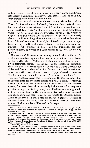as being mostly reddish, greenish, and dark-gray augite porphyrite, labradorite porphyrite, melaphyre, and diabase, and as including some quartz porphyrite and orthophyre.

In thin sections of somewhat altered porphyritic andesite of the Porfiritica formation near Andacollo, there are phenocrysts of andesine, most of which are between 1 and 2.5 millimeters long but ranging in length from 0.5 to 5 millimeters, and phenocrysts of hornblende, which tend to be much smaller, averaging about 0.5 millimeter in length. The groundmass consists chiefly of plagioclase laths, mostly about 0.1 millimeter long, showing a more or less distinct flow structure. The rock contains a little original interstitial quartz, some apatite grains up to half a millimeter in diameter, and abundant euhedral magnetite. The feldspar is cloudy, and the hornblende has been partly replaced by biotite and later altered to chlorite, calcite, and epidote.

The associated limestones are inconspicuous in the southern half of the mercury-bearing zone, but they form prominent thick layers farther north, between Vallenar and Copiapó, where they have been given formation names.9 At the base of the Porfiritica formation there are some calcareous rocks of Lower and Middle Jurassic age (Lias and Dogger), those of Middle Jurassic age predominating toward the north. Near the top there are Upper Jurassic limestones, which grade into Lower Cretaceous (Neocomian) limestones.<sup>10</sup>

In later Cretaceous and early Tertiary time the Mesozoic and older rocks were intruded by quartz diorite and related rocks.11 Although quartz diorite has been considered the usual rock of the intrusive masses, the rocks observed in this study include some that vary from granite through diorite to gabbro,<sup>12</sup> and biotite-hornblende granodiorite is the usual facies in the quicksilver districts that were examined. The entire suite has been called in late reports the Andean diorite. These rocks have been called also the Inclusion granite,<sup>13</sup> because of the conspicuous inclusions, which are characteristically widespread. Andean diorite complex will be used in this report.

<sup>\*</sup> Biese-Nickel, W. A., La distribución del Cretaceo Inferior al sur de Copiapó: Anales Primer Congreso Panamericano de Ingenierfa de Minas y Geologfa, vol. 2, pp. 430-445^ Santiago, Chile, 1942.

<sup>10</sup> Biese-Nickel, W. A., op. cit. Flores W., Hector, Geologfa de los Tacimientos de Cobre y Oro de Chile, Anales Primer Congreso Panamericano de Igenierfa de Minas y Geologia vol. 3, p. 1146. Santiago, Chile, 1942. Neuenschwander, C. R., and Tavera J., Juan, Yacimiento de plomo y Neocomiano de "Las Cafias" en el Departamento de Vallenar : Anales Primer Congreso Panamericano de Ingenierfa de Minas y Geologfa, vol. 3, pp. 1099, 1106, 1108, Santiago, Chile 1942.

<sup>11</sup> Flores W., Hector, idem, p. 1146.

<sup>12</sup> Kaiser, Luis, La Diorita Andina de Guangali, Provincia de Coqulmbo y su aureola metamOrfica: Bol. Minero, vol. 51, pp. 834-844, Santiago, Chile, 1939. Ruiz, Carlos, Estudio geológico de la región Ojancos-Punta del Cobre; idem., vol. 3, pp. 1199-1205, 1942.

<sup>13</sup> Little, J. M., The geology and metal deposits of Chile, pp. 11-12. New York, Branwell Co., 1926.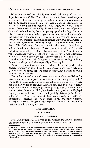#### **366** GEOLOGIC INVESTIGATIONS IN THE AMERICAN REPUBLICS, 1949

Dikes of dark rock are closely associated with many of the vein deposits in central Chile. The rock has commonly been called lamprophyre in the literature, its original nature being in many places so difficult to ascertain that it cannot be given a more specific name. It is for the most part thoroughly altered, largely to chlorite, but it seems to have consisted originally of a coarse felty aggregate of plagioclase and mafic minerals, the latter perhaps predominating. **In** some places there are phenocrysts of plagioclase and the mafic minerals; the latter show the outline of pyroxene in thin sections from some specimens, but clusters of hornblende needles are visible to the unaided eye in other specimens. Euhedral magnetite is conspicuously abundant. The feldspar of the least altered rock examined is andesine, but in altered rock it is albite. These rocks will be referred to in this report as lamprophyres. The dikes are mostly from 1 to 2 meters wide, although in some places they bulge abruptly to form thick masses. Their walls are sharply defined. Apophyses a few centimeters to several meters long, with fine-grained borders indicating chilling, follow joints in granodiorite, especially at Punitaqui.

Tertiary rhyolite flows cap some of the peaks in this part of the Andes. Tertiary marine deposits are exposed along the coast, and Quaternary continental deposits occur in many large basins and along extensive river terraces.

The regional distribution of rocks in strips roughly parallel to the coast is due at least in part to the trend of major topographic relief and to the progressively greater erosional stripping nearer the coast, but it is partly due to regional eastward dips and to north-trending longitudinal faults. According to some geologists only normal faults are important in central Chile, but farther north, as in the Copiapo region, reverse and thrust faults, and possibly strike-slip faults, are noteworthy. Strike-slip zones of shearing, probably of small displacement, controlled the ore at' some of the quicksilver mines. A major structure throughout the region is the roof of a batholith that has been irregularly exposed.

#### **ORE DEPOSITS**

#### MINERALOGY

#### **MERCURY MINERALS**

The mercury minerals observed in the Chilean quicksilver deposits are native mercury, cinnabar, and mercurian 14 tetrahedrite.

**M Use of the suffix "an," combined with the name of an element, for designating a variety of a mineral species containing that element as a minor constituent, was proposed by W. T. Schaller in Adjectival endings of chemical elements used as modifiers to mineral names : Am. Mineralogist, vol. 15, pp. 566-574, 1930, and was adopted for the latest edition of Dana's System of mineralogy (1944). Schwatzite thus becomes a synonym of mercurian tetrahedrite.**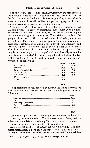*Native mercury* (Hg).—Although native mercury has been reported from several mines, it was seen only in one large specimen from the Los Mantos mine at Punitaqui. It formed globules, associated with massive limonite, in small cavities in a porous aggregate of quartz which also contained coarsely crystalline cinnabar.

*Cinnabar*  $(HgS)$ *.* Two kinds of cinnabar are common in the Chilean deposits—a coarsely crystalline, pure cinnabar and a finegrained earthy mixture. The coarsely crystalline variety forms highly lustrous deep-red grains, which grew interstitially or replaced the gangue. It occurs in both unoxidized and oxidized veins, and makes the best ore. The powdery cinnabar grades from light vermilion to brick red, is earthy, and is mixed with oxides of iron, antimony, and probably copper. It is found only in oxidized material, and almost all of it is associated with limonite and carbonates of copper. It has long been known popularly as "yuyo," and more formally as ammiolite. Ignacio Domeyko *w* had some analyzed in the middle of the last century, and reported in 1900 that the purest powder he could separate contained the following:

|                                                                  | Percent | Percent                     |
|------------------------------------------------------------------|---------|-----------------------------|
|                                                                  |         | 23.1                        |
|                                                                  |         | 19.8                        |
|                                                                  |         | 3.1                         |
| Copper $oxide$ <sub>---------------------------------</sub> 16.9 |         | 18.1                        |
|                                                                  |         | 1.1                         |
|                                                                  |         | $\sim$ $\sim$ $\sim$ $\sim$ |
|                                                                  | 8.8     | $\overline{a}$              |
|                                                                  |         |                             |

100.0

An approximate partial analysis by Ledoux and Co. of a sample too small for an accurate determination-only 300 milligrams-gave the following:

| Percent |
|---------|
|         |
|         |
|         |
|         |
|         |
|         |
| 69.0    |

The sulfur is present nearly in the right proportion to combine with the mercury to form cinnabar. The analyses show, at least, that the substance is a mixture containing the same elements as mercurian tetrahedrite, although in very different proportions.

*Mercurian tetrahedrite*  $(\bar{5}Cu_{2}S.2(Cu_{r}Fe,\bar{H}g)S.2Sb_{2}S_{3})$ . The mercurian tetrahedrite is dark gray and soft (3 to 4) and has a metallic luster; it usually forms anhedral grains, but here and there it exhibits

<sup>. 1</sup>B Domeyko, Ignacio, Mineralojfa, vol. 4, pp. 458-459, Santiago, Chile, 1900.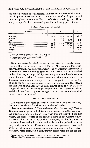the section typical of tetrahedrite. Almost all the tetrahedrite examined in polished sections encloses minute grains of chalcopyrite, and in a few places it contains distinct veinlets of chalcopyrite. Some analyses reported by Domeyko<sup>16</sup> gave the following percentages:

| Constituent                             |              | $\mathbf{2}$ | 3             |               |
|-----------------------------------------|--------------|--------------|---------------|---------------|
|                                         | 20.7         | 20.4         | 34.90         | 12.83         |
| Antimony------------------------------- | 1.5          | 4.0<br>1.3   | 0.17          | 1.19          |
|                                         | tr.<br>33.6  | 39.0         | 32.27         | tr.<br>52.89  |
| Mercury-------------------------------- | 24.0<br>20.2 | 11.0<br>24.3 | 3.80<br>27.85 | 3.83<br>18.33 |
|                                         |              |              |               | 9.80          |

|  |  | Analyses of mercurian tetrahedrite |
|--|--|------------------------------------|
|--|--|------------------------------------|

1. Manto de Valdivia, Punitaqui. Analysis by Domeyko. 2. Lajarilla, Andacollo district. Analysis by Domeyko. 3. Fortuna mine, Talca. Analysis by Castillo. 4. Huasco, south of Vallenar.

Some mercurian tetrahedrite was noticed with the coarsely crystalline cinnabar in the lower levels of the Los Mantos mine, but ordinarily the two minerals occur separately. In weathering, the mercurian tetrahedrite breaks down to form the red earthy mixture described under cinnabar, accompanied by secondary copper minerals such as malachite and azurite. In unweathered deposits, mercurian tetrahedrite is so prominent and widespread that it is regarded by some writers as being the only original mercury mineral in the Chilean deposits, all the cinnabar presumably having been derived from it." It has been suggested that even the coarse-grained cinnabar is of supergene origin, and that it was formed by weathering of the tetrahedrite and deposited in the zone of enrichment.

#### **ASSOCIATED MINERALS**

The minerals that were observed in association with the mercurybearing minerals are described in alphabetical order.

*Azurite*  $(\mathcal{C}\mathcal{C}\mathcal{C}\mathcal{C}\mathcal{O}_3 \mathcal{C}\mathcal{C})(OH)_2)$  and malachite  $(\mathcal{C}\mathcal{C}\mathcal{O}_3 \mathcal{C}\mathcal{C}\mathcal{C}\mathcal{O}(OH)_2)$ . Blue azurite and green malachite, probably accompanied by other copper minerals commonly found with them but not identified for this report, are characteristic of the oxidized parts of the Chilean quicksilver deposits. Much of the azurite is visibly crystalline, but much of the malachite occuring in minute cavities is very fine grained and some is typically colloform. These minerals in most places are associated with the red powdery mixture containing cinnabar which is contemporaneous with them, for it is intimately mixed with the copper car-

<sup>16</sup> Domeyko, Ignacio, Mineralojfa, vol. 2, pp. 237-239, Santiago, Chile, 1897.

<sup>17</sup> Little, J. M., The geology and metal deposits of Chile, p. 77,1926.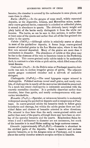bonates; the cinnabar is covered by the carbonates in some places, and coats them in others.

*Barite (BaSO<sub>4</sub>).* —In the gangue of some small, widely separated . deposits, as the Algarrobo, Alianza, and Merceditas mines, moderately coarse grained barite, commonly in euhedral or subhedral plates, is second in abundance to quartz. The obviously heavy weight and platy habit of the barite easily distinguish it from the white carbonates. The barite, as can be seen in thin sections, is earlier than at least some of the quartz and earlier than all of the fine-grained cinnabar in the quartz.

*Calcite (CaCO<sub>s</sub>)*.—Although calcite is relatively scarce or absent in most of the quicksilver deposits, it forms large, coarse-grained masses of anhedral grains in the Los Mantos mine, where it was the first vein mineral deposited. Many of the grains are more than 5 centimeters in diameter. The abundance of calcite at this place may be due to the closeness of the vein to limestone lenses in the Porfiritica formation. This coarse-grained early calcite tends to be moderately dark, in contrast to a late white or pink calcite, which filled some of the latest fissures.

*Chalcocite*  $(Cu_2S)$ . In the Delirio mine at Punitaqui massive chalcocite was seen to enclose irregular grains of pyrite. The adjacent quartz gangue contained cinnabar and a network of malachite stringers.

*Chalcopyrite*  $(CuFeS<sub>2</sub>)$  The usual hypogene copper mineral is chalcopyrite. Polished sections reveal small grains, and rarely veinlets, of chalcopyrite in nearly all the mercurian tetrahedrite examined. To a much less extent chalcopyrite is intimatety associated with the coarsely crystalline cinnabar. It is probably somewhat earlier than cinnabar, later than pyrite, and nearly contemporaneous with mercurian tetrahedrite.

*Hematite (Fe<sub>2</sub>O<sub>3</sub>)*. Specular, or micaceous hematite is moderately widespread among the quicksilver deposits and is conspicuous at Punitaqui. In coarse-grained calcite the hematite tends to follow grain boundaries and cleavage, but within the calcite grains there are individual flakes and clusters of hematite oriented in other directions, The mineral is thus later than the early coarse-grained calcite and earlier than most of the quartz, although there may have been an overlap of the specular hematite and the quartz. Resplendent flakes between 2 and 5 millimeters in diameter are not uncommon, but much of the hematite is in small flakes making up large unctuous masses.

*Limonite* (approximately  $2Fe<sub>2</sub>O<sub>3</sub>H<sub>2</sub>O$ ). Limonite is abundant in the oxidized parts of the deposits. Some is massive and encloses specular hematite, as in the Azogues mine at Punitaqui, and in some places the earthy cinnabar mixture occupies cavities in limonite.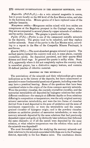*Magnetite (FeO.Fe<sub>2</sub>O<sub>3</sub>).*—As a vein mineral magnetite is scarce, but it occurs locally on the 388 level of the Los Mantos mine, and also in the Luisiana mine. Minute grains of it have replaced some of the specular hematite.

*Manganese omdes.* Manganese oxides mixed with iron oxides are conspicuous at the Kegalona prospect in the Copiapo region, where they are accompanied in several places by copper minerals of oxidation and by earthy cinnabar. The gangue is quartz and barite.

*Pyrite*  $(FeS_2)$ . --Pyrite is one of the commonest metallic minerals in the deposits. The grains tend to- be euhedral, and they replace earlier minerals. Some of the pyrite in the Los Mantos mine, according to a report in the files of the Compania Minera Punitaqui, is auriferous.

*Quartz*  $(SiO<sub>2</sub>)$ . The most abundant gangue mineral is quartz. The earliest quartz replaced the country rock and, in some places, coarsely crystalline calcite. Its deposition persisted, and later quartz filled fissures and lined vugs. In general the quartz is milky white. Some of it, apparently where it did not completely replace the country rock, is somewhat grayer, has a distinctive sugary texture, and contains ill-defined patches of chloritic material.

#### **HISTORY OF THE MINERALS**

The associations of the minerals and their relationships give some indications as to the history of the deposits, but leave unanswered or speculative some fundamental questions of genesis, including some that may have a practical bearing. Some of the questions that have been considered relate to the origin of the three common mercury minerals. Were the powdery cinnabar, the coarsely crystalline cinnabar, and the mercurian tetrahedrite all deposited by hypogene solutions but under different conditions-for example at different depths or from solutions differing in composition or temperature; was the only original mercury mineral mercurian tetrahedrite, and were the two forms of cinnabar derived from it and deposited in the zone of oxidation and the zone of enrichment respectively; or were the tetrahedrite and the coarsegrained cinnabar of hypogene origin; and is the powdery cinnabar mixture an oxidation product of mercurian tetrahedrite; or were the mercury minerals deposited by the same solutions that had previously deposited copper and gold, or by distinctly later solutions that followed the same channels; or if all the metals were deposited by the same solution, at what relative temperature was the solution when each of the minerals was deposited ?

The most favorable places for studying the mercury minerals and their relations to the minerals associated with them are in the Punitaqui district, especially in the Los Mantos mine. The conclusions drawn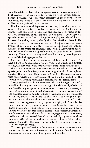from the relations observed at this place were in no case contradicted by those observed at other localities, where the relations were less completely displayed. The following summary of the relations in the Punitaqui ore deposits is therefore considered representative of the Chilean mercury deposition in general.

The first vein mineral deposited was coarsely crystalline, anhedral calcite. Its distribution is restricted within narrow limits, and its origin, which therefore is somewhat problemati^, is discussed in the detailed description of the deposits at Punitaqui. Coarse-grained specular hematite was formed along cleavage planes of the calcite and between the grains, showing clearly that the hematite is later in the mineral sequence. Hematite was in turn replaced to a varying extent by magnetite, which in some places retained the outlines of the replaced hematite flakes, which are commonly contorted. Massive white quartz replaced some of the calcite, possibly while specular hematite was still forming. Later quartz, in very much smaller quantity, was deposited as one of the last hypogene minerals.

The range of pyrite in the sequence is difficult to determine. At least a part of it, associated with late veinlets *oi* quartz and pinkish calcite, was very late. Gold was introduced with some of the pyrite.

Mercurian tetrahedrite is to some extent interstitial between the quartz grains, and in a few places euhedral grains of it have replaced quartz. It may be later than the earliest pyrite. Its close association with chalcopyrite is noteworthy, and at least a minor quantity of the chalcopyrite, forming microscopic veinlets, cuts the tetrahedrite.

Coarse-grained cinnabar is associated with the hypogene minerals, including chalcopyrite that shows no sign of enrichment by chalcocite or of weathering to copper carbonates; some of it remains, however, in zones of copper enrichment and of oxidatiton. A polished section of one specimen showed minute veinlets of cinnabar cutting chalcocite, which may indicate either that the chalcocite is of hypogene origin or that some of the cinnabar is supergene. Mbst, if not all, of the coarse cinnabar appears to be hypogene in origin, but if so it is distinctly late in the hypogene sequence, possibly coming last. It replaced quartz and formed between the grains of quartz, and it has a similar relation to the late pinkish calcite. The observed relations do not show conclusively whether this cinnabar, together with late quartz, pyrite, and calcite, marked the end of the main hypogene mineralization, or whether it was formed by a resurgence of the solutions along the same channels. Essentially one period of hypogene mineralization seems the more probable.

The exact place of barite in the complete series of minerals is not known, for barite was not observed at Punitaqui, but barite was deposited earlier than some of the quartz and cinnabar.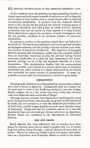#### **372** GEOLOGIC INVESTIGATIONS IN THE AMERICAN REPUBLICS, 1949

In the weathered zone the powdery mixture containing cinnabar is closely associated with copper minerals of oxidation as well as limonite, and in places it lines cavities such as would remain after weathering of mercurian tetrahedrite. A specimen from the Andacollo district shows in thin section the fine-grained red material rimming grains of mercurian tetrahedite and cutting them as minute veinlets, precisely as limonite rims and cuts pyrite at whose expense it is being formed. These observations support the conclusion of early investigators, that the red powdery substance is an oxidation product of mercurian tetrahedrite.

In summary, answers to the questions stated above are believed to be as follows: The mercurian tetrahedrite and coarse-grained cinnabar are hypogene minerals, and the powdery cinnabar mixture is an oxidation product of mercurian tetrahedrite. The deposition of hypogene mercury minerals and of hypogene copper minerals and gold resulted from an essentially continuous process, the mercury having formed mercurian tetrahedrite at a relatively high temperature and coarsegrained cinnabar, as one of the last hypogene minerals, at a lower temperature. This interpretation implies that the coarse-grained cinnabar, at least, is not limited to a narrow depth-zone of secondary enrichment but could continue to a depth determined by the factors that controlled the entire process of mineralization. It seems improbable, however, that the mineralization extends to great depth.

#### DISTRIBUTION

The geographic distribution of the quicksilver ores has been outlined above and is shown in figure 39. Geologically, they are confined for the most part to rocks of the Porfiritica formation near the Andean diorite complex, but in a few places they occur within the intrusive rock, as at Algarrobo mine and north of Illapel.

Although mercury minerals were deposited in small quantity along joints leading from faults, and along flat-lying beds of tuff intersected by faults, the ore is mostly in or near the shattered and crushed rock of fault zones, and the largest deposits are in the most extensive zones of fracturing. Gouge and clay are commonly present in or near the deposits but have not exercised any obvious control on ore deposition. Further details are considered in the descriptions of individual districts.

#### SIZE AND GRADE

Small deposits that were sufficiently rich in mercury have been mined for mercury alone, the ore being in pockets only 2 to 15 meters long and seldom mined through a vertical distance of more than 50 meters. Where the values are chiefly in gold and copper, with quicksilver as a byproduct, as at Punitaqui, blocks as much as 100 meters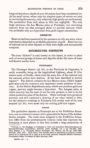long and mined to a depth of over 100 meters have been considered ore. At the small mines, where only the simplest types of retorts are used in recovering the mercury, only relatively high-grade ore can be mined. The production from such mines in 1944 was negligible. The only large producer, the Los Mantos mine at Punitaqui, was recovering mercury from ore that averaged about 0.1 percent mercury which was profitable only as a byproduct from gold-copper concentrates.

#### **RESERVES**

Reserves had been measured by the operators at only one mine, where exploitation depended on profitable extraction of gold. Reserves even of inferred ore at other deposits in Chile were slight and economically marginal.

#### **QUICKSILVER DISTRICTS**

The term "district" is used loosely in this report, in order to place each of several groups of mines and deposits under the name of some well-known nearby town.

#### PUNITAQUI

The Punitaqui district (pi. 20), in the Provincia de Coquimbo, is easily accessible, being on the longitudinal highway, about 35 kilometers south of Ovalle, where both the main line of the railroad and the national airline have stations. It has been described in several reports.18 The district contains the Los Mantos mine, Chile's largest gold mine and the country's only important recent producer of mercury. At the Delirio-Republicana mine, which now produces gold and copper, mercury might become a byproduct. The Azogues mine, at which mercury was the main if not the only product, is said to be the oldest quicksilver mine of the district. Other workings have produced mercury, and still contained a showing of ore when visited in 1944, but the extensive workings in Trinitaria hill, mostly west of the area mapped (pi. 20), were made only for mining gold and copper.

#### **ROCKS**

The quicksilver deposits at Punitaqui are in the Porfiritica formation, near an intrusive contact with a granodiorite facies of the Andean diorite complex. The rocks there assigned to the Porfiritica formation differ from the predominantly volcanic rocks that represent the formation in most places, in that they include a large proportion of

 $\ddot{\phantom{0}}$ 

<sup>&</sup>lt;sup>18</sup> Götting, A., Die Erzgänge zu Punitaqui in Chile, mit besonderer Berucksichtigung der Zinnoberführenden Lagerstätten: Zeitschr. prakt. Geologie, vol. 2, pp. 224-230, 1894. Claro Montes, J. L., Compafila Minera Punitaqui: Bol. Minero, vol. 53, pp. 1262-1263, Santiago, Chile, 1941. Ayala Oliva, Jos6, Estudio sobre la posibilidad de mejorar el rendimiento en la explotación de la mina de la Sociedad Anónima Compañía Minera Punitaqui. Unpublished thesis, University of Chile, Santiago, 1943.

 $890880 - 50 - 2$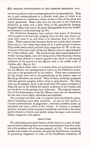#### 374 GEOLOGIC INVESTIGATIONS IN THE AMERICAN REPUBLICS, 1949

intrusive porphyry and are metamorphosed by the granodiorite. They are in part metamorphosed to a chloritic rock, some of which is so well foliated as to constitute a schist; at least a little of the schist was clearly granitized. Some rocks that are not part of the Porfiritica formation, as aplite and a dark facies of the grandiorite forming irregular dikes, were not in all places distinguished from the Porfiritica formation on the areal map (pi. 20).

The Porfiritica formation here contains thin layers of limestone, which appear to be lenticular, judging from the fact that where outcrops have come to an end there is no limestone float in line with them. Where exposed the limestone layers are mostly about 2 meters thick, but in a few places they bulge out to a much greater thickness. They strike nearly north, and their dips range from  $\overline{45}^{\circ}$  W. in the central part of the area, south of the Los Mantos mine, to approximately 90° in the northern part. The limestone has been metamorphosed in widely varying degree, some of it being only a little bleached, whereas some has been altered to a massive garnet rock, which is well exposed northeast of the quarries at Los Mantos and in the saddle north of Culebra adit. (See pi. 20.)

Lamprophyre dikes, only 1 or 2 meters thick, are continuous within the Los Mantos vein underground as well as in the Porfiritica formation and in the granodiorite at the surface. Those seen underground all dip steeply west, but in the granodiorite at the surface some are flat lying and others are vertical. Parts of them, including apophyses with fine-grained margins, follow joints in granodiorite. The dikes were not all mapped; those in the small basin 300 meters northeast of Pique 2A and on the hillside 250 meters southwest of the Culebra adit are not shown on the geologic map of the area. The original composition of the lamprophyre in the Los Mantos mine was not determined, for the rock is now highly chloritized and albitized.

The principal intrusive rock is a typical biotite-hornblende granodiorite containing many dark inclusions. As seen in thin section, it consists predominantly of plagioclase; orthoclase probably makes up somewhat less than a third of the volume. It contains a moderate quantity of quartz, rather abundant hornblende and biotite—the latter partly altered to chlorite and epidote along cleavages-and accessory sphene, magnetite, and apatite.

#### **STRUCTURE**

The outstanding structural feature of the district is a zone of faulting and minor shearing that was traced intermittently from the northern to the southern end of the area mapped (pi. 20). It is marked by pockets and streaks of a peculiar, fine-grained fault breccia, consisting of ground-up fragments of rocks of the Porifiritica formation, of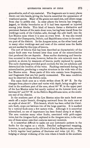granodiorite, and of vein material. The fragments are in many places drawn out into bands, giving the breccia somewhat the appearance of weathered gneiss. Many of the grains are sand size, and others range from clay to pebble size. In some places the breccia has irregular, jagged, or blocky boundaries as if it had been squeezed or injected among joint blocks. This kind of breccia forms a distinctive and persistent feature of the main shear zone, having been traced from the workings north of the Culebra adit, through the adit itself, into the Los Mantos mine where it is seen on every level. It was also traced through the Champurria, Delirio, and Republicana mines in the southern part of the district. In the Azogues mine, on the other hand, and in many other workings east and west of the central zone the faults are not marked by this type of breccia.

The sort of breccia that has been described as characteristic of the major fault zone was formed later than most of the mineralization that produced the ore deposits. Some earlier shattering and brecciation occurred in this zone, however, before the vein minerals were deposited, as shown by remnants of breccia partly replaced by quartz. The early shattering provided good conduits for the ore solutions and determined the location of the veins. Faulting continued during the mineralization, producing a complex structure in the wide vein of the Los Mantos mine. Some parts of this vein contain loose fragments, and fragments that are but partly recemented. The same condition may be observed in the Delirio mine.

The main fault zone as a whole strikes about N. 20° E. Its dip changes from place to place and varies with depth, being roughly vertical in the northern part of the area, about 60° W. in the upper part of the Los Mantos mine but nearly vertical on the lowerst level, and between 65° and 70° W. in the Delirio-Republicana mine, at the southern end of the district.

In the southern part of the Los Mantos mine the main fault zone sends off a major branch, diverging eastward from the main zone at an angle of about 20°. This branch, which has been called the Cernicalo fault, crops out between two of the large quarries. It is marked by a vertical fault zone a few meters wide. Although it is somewhat mineralized, no ore of importance has been found along it at depth. The area contains many other faults, associated with gold-copper veins, but the Azogues fault, explored in the Azogues mine, is the only one of these minor ones that contains mercury minerals.

It is somewhat difficult to make out any systematic pattern in the faults for the region as a whole. Detailed underground mapping, however, in such places as the 170 level of the Los Mantos mine, reveals a fairly regular local pattern of fractures and veins (pi. 21). The bulging or abrupt widening of the vein where it bends in the southern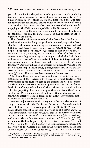part of the mine fits the pattern made by a shear couple producing tension there at successive periods during the mineralization. The bulge appears in two places on the 250 level (pi. 22). The same tendency for the mineralized zone to widen where horizontal shearing was translated into tension at a bend was observed during the detailed mapping of the Delirio mine, specially on the Socavón level (pl. 27). This evidence that the ore had a tendency to form on abrupt, even though minor, bends in the major shear zone may be useful in exploring for new ore shoots.

This shearing of course antedated the first mineralization, as it provided channels for the passage of solutions and prepared a favorable host rock; it continued during the deposition of the vein material. Shearing that caused relative southward movement on the west side displaced the vein horizontally. The effect, as seen in plans and sections (pis. 21, 22, and 23), may resemble the effect of either normal or reverse faulting, depending on the angle at which the faults intersect the vein. Lack of key beds makes it difficult to interpret the displacements, which had been interpreted as the result of hinge faulting.19 Further indication of postvein horizontal movement is the peculiar nose-shaped thrust fault, dipping northward, at the crosscut between the 2A and Maestro shafts on the 170 level of the Los Mantos mine (pi. 21). The northern block overrode the southern.

The theory that these structures are due to horizontal southward displacement of the western side of each of several fractures, was extrapolated to the southern part of the district and used in explaining the difference between the actual position of the vein on the 370 level of the Champurria mine and the position that would be indicated by projecting the same vein up to that level from the Socavón level of the Delirio mine (pis. 26 and 27). It was also applied, tentatively, to interpretation of details in the Delirio-Republicana mine, as shown in the maps and sections (pi. 27).

Another major structure of the region is the intrusive contact of the granodiorite with the Porfiritica formation. The main contact lies east of the veins and dips in general about 60° to 65° W. (pi. 23), either almost parallel to the principal veins or at a lower angle. A large protruberance from the batholith, seen in the northeastern parts of the 170 and 250 levels of the Los Mantos mine (pis. 21 and 22), and also on the surface 100 meters northeast of Pique 2A (pi. 20), accounts for the locally gentle dip of the contact in sections *A-A'* and *B-B'.* (See pi. 23.) Small offshoots of granodiorite are exposed 200 meters east of the Culebra adit, also in the Azogues mine, in the adit on the 330 level of the Los Mantos mine, and in some of the explora-

<sup>19</sup> Ayala Oliva, Josg, Estudio sobre la posibilidad de mejorar el rendimiento en la exploitaci6n de la mina de la Sociedad An6nima Companfa Minera Punitaqui. Unpublished thesis, University of Chile, Santiago, 1943.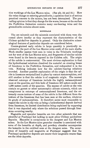tion workings of the Los Mantos mine. (See pis. 24 and 25.) How the veins change on entering granodiorite, a question that is of serious practical concern to the miners, has not been determined. The prevailing opinion is that they change for the worse, because at the surface the Porfiritica formation contains many ore-bearing veins and the granodiorite contains almost none.

#### **MINERALS**

The ore minerals and the minerals associated with them were discussed above insofar as they represent the characteristics of the Chilean quicksilver deposits in general. Only the distinctive mineralogical features of particular deposits are considered below.

Coarse-grained early calcite in large quantity is practically restricted to the part of the Los Mantos mine south of the main shafts. Much smaller masses were seen in veins in the Trinitaria workings not far west of the Los Mantos mine, and fragments of similar calcite were found in the breccia exposed in the Culebra adit. The origin of the calcite is controversial. The most obvious explanation is that the hydrothermal solutions dissolved the material on crossing lenses of limestone in the Porfiritica formation, and redeposited it in the Nothing indicates how far the calcium-bearing solutions traveled. Another possible explanation of the origin is that the calcite is limestone recrystallized in place by contact metamorphism, and still another is that the calcite is of magmatic origin. The nearest observed outcrops of limestone include the highly metamorphosed mass at the quarries, and thin beds of limestone 400 meters south and 1,300 meters north of the quarries. The masses of calcite at the vein contain no garnet or other metamorphic silicate minerals, which are conspicuous in outcrops of metamorphosed limestone, and the extremely coarse texture of some of the calcite is far different from the texture of the limestone that has been seen at the surface, whatever its grade of metamorphism. It therefore seems most reasonable to regard the calcite in the vein as being a hydrothermal deposit derived from limestone, its limited distribution being explained by supposing that it was deposited only where the solutions passed through limestone occurring nearby.

Magnetite and specular hematite are two other minerals that are plentiful at Punitaqui but lacking in most other Chilean quicksilver deposits. Hematite is conspicuous in the Azogues and Los Mantos mines. In the Los Mantos mine granular cinnabar is associated with some of the hematite at depth, and powdery cinnabar accompanies the hematite in the oxidized zone at the Azogues mine. The occurrence of hematite and magnetite at Punitaqui suggests that the Punitaqui quicksilver deposits are nearer their magmatic source than are the other deposits.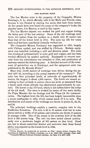#### **LOS MANTOS MINE**

The Los Mantos mine is the property of the Compañía Minera Punitaqui, S. A., which officially calls it the Molle and Florida mine, because it was formed by uniting two mines that bore those names. As few people have ever heard the name on the company's books, the popular name, Los Mantos, is used in this report.

The Los Mantos deposit was worked for gold and copper during the latter part of the last century. Some of the old workings went down 115 meters from the surface, to a depth only 20 meters less than that of the lowest level in 1944. The mine lay idle for many years and had been considered virtually worked out.

The Compañía Minera Punitaqui was organized in 1935, largely with Chilean capital, and was staffed by Chileans. Modern equipment was installed, including a mill and flotation plant. The mine was developed systematically to mine gold and copper, and has been worked efficiently by modern methods. Equipment to recover mercury from the concentrates was installed in 1940, and production of mercury started the following year. A detailed account of the treatment of quicksilver ore at Punitaqui, and the equipment used, was published by Sr. Kicardo Fritis.20

More than 10,000 meters of workings were driven during the period 1937-43, according to the annual reports of the company.21 The mine has four principal levels, at intervals of approximately 40 meters, the longest is about 1,000 meters. The levels are named according to their altitude in meters above sea level, as measured from a bench mark whose altitude was determined approximately by aneroid. The lowest is the 1TO level, which is 145 meters below the collar of the 2A shaft. The mine is worked by means of two main shafts, the Pique Maestro for ore haulage and the Pique 2A for communication. The highest level, the 290, has been largely inaccessible since a severe earthquake in 1943, which caused much of it to cave. The distribution and extent of the workings are shown in plates 21, 22, 23, and 24.

The principal workings exploit a massive, complex vein in the Porfiritica formation. The yein is 20 to 30 meters wide but in some places attains a width of 50 meters, and contains ore shoots 10 meters in average width. One of the stopes in the southern half of the 250 level is 200 meters long. The vein has been mined almost continuously over a maximum length of 500 meters on that level. Good ore, but in shoots somewhat shorter and narrower than those found above, was exposed on the lowest level in 1944.

ł.

<sup>&</sup>lt;sup>20</sup> Fritis, Ricardo, La producción de mercurio en Chile: Anales Primer Congreso Pan**americano de Ingenierfa de Minas y Geologfa, vol. 4, pp. 1626-1636, Santiago, Chile, 1942. 21 Compania Minera Punitaqui, Sociedad Antaima : An. Rpts. 2-8,1937-1943.**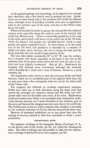As the general geology and mineralogy of the deposit have already been described, only a few details need be pointed out here. Quicksilver ore has been found only in the northern half of the Los Mantos mine, although traces of powdery cinnabar were seen in exploration adits in the southern part of the mine, and also in the Delirio mine far to the south.

Where not bounded laterally by gouge, the vein grades into replaced country rock, especially along the southern part of the western side of the Los Mantos mine. There is noteworthy gradation at the ends of the mine, particularly well shown at the north end of the 170 level, where the massive vein grades into silicified breccia, which in turn grades into partly replaced breccia. In some places, as at the south end of the 250 level, this gradation is obscured by a complex of faults and shear zones; however, the vein is dying out here and the faults probably have not cut off a large quantity of ore.

The vein dips rather consistently  $60^{\circ}$  to  $65^{\circ}$  W. near the surface, but it steepens with depth, especially at the bend in the vein in the southern part of the mine, where below the 210 level the vein is vertical and even slightly overturned. (See pi. 23.) Southward the hanging wall becomes more overturned, although the footwall, where bounded by a fault and a zone of breccia, returns to a steep westerly dip.

The exploration adits, shown in plate 25, cut many faults and fault breccias, which can be considered part of the regional fault zone, but no vein more than a few centimeters wide was cut by the adits south of the Venero adit.

The company has followed an excellent exploratory program. Drifts have been run in both directions along the shear zone that carries the principal ore, crosscuts extend into the walls, and wellplaced adits cross the favorable zone south of the mine. Exploration northward seems more likely to be successful than exploration southward, because mercury ore is most abundant in the northern part of the mine and because the Azogues mercury mine lies to the northwest. The Culebra adit, moreover, which contains some cinnabar, is probably on the northern extension of the Los Mantos mineralized shear zone.

Reserves of measured quicksilver ore at any given time since the mining of mercury started in 1941 have amounted to about 1 year's production.

#### **CHAMPITRRIA** MINE

The southern workings of the Compañía Minera Punitaqui, S. A., on the Delirio side of the divide (pi. 20) are called the Champurria mine. The older workings were inaccessible in 1944, but the exploratory workings called the 370 level were mapped (pi. 26).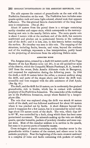The adit exposes the contact of granodiorite on the east with the Porfiritica formation on the west. The Porfiritica here includes some quartz-epidote rock and some light-colored, altered rock that appears tuffaceous. The fine-grained breccia characteristic of the long shear zone is conspicuous. (See pi. 26.)

About 38 meters from the portal there is a stringer containing earthy cinnabar and copper stain, which corresponds to the mercurybearing east vein in the nearby Delirio mine. The main quartz vein is about 3 meters wide at the southern end of the drift, but narrows northward and pinches out in postmineral breccia at the northern end of the drift; and it is lost, also, in this breccia before reaching the surface. No cinnabar was seen in this vein. The mapping of the structure, including faults, breccia, and veins, beyond the southern end of the workings, represents a free interpretation, partly based on the projecting of structures from the adjoining Delirio mine.

#### **AZOGUES MINE**

The Azogues mine, entered by a shaft 650 meters north of the Pique Maestro of the Los Mantos mine (pi. 20), is an old quicksilver mine of the district, which the Compania Minera Punitaqui, S. A., leased in 1937 from the owner, Dona Amalia Aldunate viuda de Beaugency, and reopened for exploration during the following years. In 1944 the shaft, a drift 35 meters below the collar, a crosscut midway along the drift, and parts of the stopes above and below the drift were accessible and were mapped with the able assistance of Jose Ayala. (See fig. 40.)

The shaft, and the drift for 25 meters, are in moderately fine grained granodiorite, rich in biotite, which lies in contact with andesite porphyry of the Porfiritica formation. The remainder of the workings are in the Porfiritica formation, except where flanked by a lamprophyre dike.

The vein that was explored along the drift was struck 40 meters north of the shaft, and was followed northward for about 100 meters where it was pinched out by faults. A short distance beyond this point it reappears for a few meters, but it is concealed by caved workings about 175 meters north of the shaft. The vein, which dips 50° to 60° W., was controlled by a fault, along which there has been some postmineral movement. The minerals making up the vein are chiefly quartz, specular hematite, pockets of powdery cinnabar and some copper stain. Most of the cinnabar mixture is in cavities in the quartz, but some is in porous parts of hematite masses.

Cross stringers of quartz containing earthy cinnabar occur in the granodiorite within 5 meters of the contact, and others occur in the andesite porphyry. Near the beginning of the main crosscut eastward is a complex of veins and faults containing rich pockets of earthy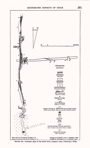

FIGURE 40. Geologic map of the main level, Azogues mine, Punitaqui, Chile.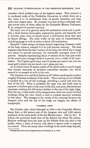**382** GEOLOGIC INVESTIGATIONS IN THE AMERICAN REPUBLICS, 1949

cinnabar which yielded some of the highest assays. This crosscut is in unaltered rocks of the Porfiritica formation, in which there are a few veins, 2 to 10 centimeters wide, of quartz, hematite, and clay, with some copper stain. No cinnabar was seen in them although samples across some of them, taken by the Compañía Minera Punitaqui, S. A., assayed 0.3 percent mercury.

The main vein is in general about 60 centimeters thick and is probably a fault breccia thoroughly replaced by quartz and hematite, but it includes some veins of quartz about 3 centimeters thick that may be fissure fillings. The total width of the zone of mineralization, including gouge as well as veins, is about 150 centimeters.

Samples 22 taken along a 35-meter stretch, beginning 10 meters north of the long crosscut, assayed 0.13 to 0.38 percent mercury. The best samples came from the last 7 meters of the strip, for which the average was about 0.3 percent mercury; the remainder averaged about 0.17 percent. Samples representing about 10 meters of the vein just south of the caved part averaged abont 0.3 percent over a width of 27 centimeters. The highest gold assay was 5.5 grams per metric ton, but the usual gold content was not much over 1 gram per ton.

An inclined winze 37 meters north of the shaft leads to small stopes that contain remnants of excellent crystalline cinnabar ore, which seemed to be present at rolls in the vein.

The Azogues vein and fault flatten to 35° before reaching the surface roughly 60 meters northeast of the shaft. Their outcrop on the hillside is marked by a line of old workings, including a caved adit near the foot of the hill. What is probably the same vein and fault zone is \_exposed in shallow pits on the nose of the hill, and poor, discontinuous exposures continue for 500 meters farther to the top of the high ridge. Near the top, a little north of the mapped area, there are many inclined workings along the vein, which is said to contain mercury minerals in that place. The changes in the course of the outcrops between the Azogues mine and the top of the ridge are largely the effects of topography.

#### **CTJLEBRA ADIT**

The Culebra adit, which belonged in 1944 to the Compañía Minera Santa Inés, is 320 meters east of the Azogues vein and 1,250 meters northeast of the main shaft of the Los Mantos mine. (See pl. 20.) It follows the principal fault zone of the district for about 160 meters. Shallow workings trace the zone up the hillside from the adit to the saddle, where a strip of breccia only about 5 meters wide is exposed in a trench. There are many other workings in the north slope beyond,

<sup>22</sup> Sample data from the Compafila Minera Punitaqui, S. A., 1944.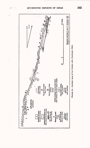$\mathbf{e}$  :  $\frac{1}{2}$  $\mathcal{L}$ l

l,





 $\ddot{\phantom{0}}$ 

Ċ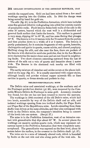outside the mapped area. Gold ore had been mined from a few small workings opening into the Culebra adit. In 1944 the dumps were being sorted by hand for gold ore.

The adit (fig. 41) is in the Porfiritica formation, which here includes some fine-grained chloritic rock grading into schist but consists mainly of porphyritic rocks. Fault breccia forms both walls of the adit in the outer 30 meters, beyond which the west wall is a slickensided and grooved fault surface that limits the breccia. This surface in general is very steep, dipping 80° to 85° E., and has some fluting that plunges 50° S. The breccia is 5 to 10 meters wide for 75 meters from the portal, and then pinches down to a width of 2 or 3 meters. The breccia is partly postmineral, for it contains fragments of vein quartz, hematite, chalcopyrite and pyrite in quartz, coarse calcite, and altered porphyry. Halfway along the adit, and also near the face, there are pockets of the breccia with distinctive sand-size particles, that in the Los Mantos mine characterize the major shear zone and are not found in neighboring faults. Two short crosscuts extending eastward from the last 20 meters of the adit cut a vein of quartz and hematite about 1 meter<br>wide. The fissures in the shattered rock nearby are filled with The fissures in the shattered rock nearby are filled with hematite.

The earthy mixture of cinnabar and oxides occurs at the places indicated on the map (fig. 41). It is usually associated with copper stains, although locally red powder without copper minerals fills or lines cavities in quartz, or forms streaks and pockets in clay.

#### **DELIRIO-REPUBLICANA MINE**

The Delirio mine and associated workings, at the southern end of the Punitaqui quicksilver district (pi. 20), were reopened by the Compañía Minera Delirio de Punitaqui to mine gold. Accessory cinnabar was found, but the ore has not been treated to recover the mercury.

The workings in 1944 consisted of the old Delirio mine, which had two levels, accessible by way of the Delirio shaft and an adit, and isolated workings opening from two inclined shafts, the Pique Norte and Pique Sur of the Republicana mine. Levels extending from these shafts were driven at the same altitudes, and they also correspond with levels in the Delirio mine, the company's intention being to connect all the levels into one system. (See pi. 27.)

The mine is in the Porfiritica formation, west of an intrusive contact with granodiorite that dips about 60° W. In several places the workings cut massive epidote-quartz rock, which may represent calcareous layers in the Porfiritica formation that were completely metamorphosed. The granodiorite was exposed on the first level, about 35 meters below the surface, in the crosscut to the Delirio shaft (pi. 27).

The veins are in a zone of intensely altered rock, which is bounded by faults on the east side and also along parts of the west side. In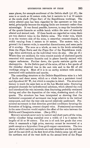some places, for example southwest of the Delirio shaft (pi. 27), the zone is as much as 60 meters wide, but it narrows to 5 or 10 meters at the south shaft (Pique Sur) of the Bepublicana workings. The entire altered zone has been regarded by the operators as vein material, principally because the stoping limits are economic rather than mineralogic. It was found possible, however, to map the boundaries of the quartz-limonite or sulfide bands within the zone of intensely altered and stained rock. If these bands are regarded as veins, there are two distinct veins in the Delirio mine. The wider vein, which is on the western side of the mine, is somewhat crescent-shaped, its width varying from 5 meters to 20 meters. The eastern vein, in general 1 to 2 meters wide, is somewhat discontinuous, and some parts of it overlap. The zone as a whole, as seen in the levels extending from the Pique Norte and the Pique Sur of the Republicana workings, thins southward, as the individual veins do also. (See pi. 27.) Where they are oxidized, the veins consist mainly of shattered quartz cemented with massive limonite and in places heavily stained with copper carbonates. Farther down, the quartz contains pyrite and chalcopyrite. In the Delirio part of the mine, all but a few specks of the cinnabar observed was in the east vein and in the fill of old workings along it. Most of it is in an earthy mixture with oxides, associated with malachite and azurite.

The controlling structure at the Delirio-Eepublicana mine is a belt of faults and shear zones, which as a whole has a persistent trend and dips about  $60^\circ$  W., but which is complex in detail. The structural history is much the same here as at the Los Mantos mine: fracturing prepared channels for hydrothermal solutions, which altered the rock and introduced the vein minerals; then fracturing probably continued during and after the deposition of the veins, shattering much of the quartz. The structure has been interpreted as showing that the horizontal component of movement was large relative to the vertical component, and that the west side moved relatively southward. Premineral movement in that direction provided conditions favoring the formation of bulging, crescent-shaped veins. Postmineral movement in the same direction would explain the offset of the veins between the Delirio and Champurria mines. (See p. 376.)

Mercury minerals occur only in narrow and short parts of the veins, earthy cinnabar being scattered over a width of 1 to 2 meters for lengths of 25 or 30 meters. The ore is of such low grade that even when it commands a high price, mercury cannot be recovered at a profit except as a byproduct from gold-copper concentrates. The two places at which mercury minerals are most abundant are the southern part of the east drift on the first level of the Delirio mine (pi. 27) and the northern end of the west drift on the second level of the Pique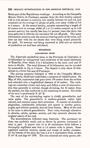Norte part of the Republicana workings. According to the Compañía Minera Delirio de Punitaqui, samples from the first locality assayed 0.06 to 0.44 percent in mercury, but usually between 0.2 and 0.3, and contained on the average 6.5 grams of gold, over assay widths of 0.8 to 2 meters. At the second locality, samples representing a length of 20 meters and an average width of 1 or 1.5 meters assayed up to 0.16 percent mercury but usually less than 0.1 percent; here also there was some gold, but in 1944 the ore was below the cut-off grade. This assay information concerns only the mercury-bearing parts of the mine, and does not deal with the ore shoots that were being mined primarily for gold. No mercury was being recovered in 1944 and no reserves of quicksilver ore had been calculated.

#### **HTTANrLLO**

#### **ALGARROBO MINE**

The Algarrobo quicksilver mine, in the Provincia de Coquimbo, is 10 kilometers by unimproved road southwest of the small settlement of Huanillo, from which it is 5 kilometers to the main road and 27 more to Ovalle. The total distance of 42 kilometers can be traveled by automobile in  $1\frac{1}{2}$  or 2 hours. The deposit is only about 20 kilometers in a direct line east of Punitaqui.

The mining property belonged in 1944 to the Compañía Minera Monte Patria, which had undertaken a program of rehabilitation. By May of 1944, exploration had gone down 100 meters from the surface and extended over a longitudinal distance of 60 meters. The workings are somewhat erratic and steep, and follow a zone of mineralization that generally is vertical, though deviating, for 55 meters from the surface, but dips northwest in the remaining 45 meters. The strike of the zone is persistently N.  $40^{\circ}$  E.

The rock of the surrounding region is chiefly granodiorite, and some aplite. The granodiorite is medium-grained, rather light colored, and contains many dark inclusions. It consists of abundant plagioclase, considerable orthoclase and quartz in smaller grains, augite, and chlorite probably derived from biotite. Most of the rock in the mine is altered granodiorite. Near veins, thorough alteration to chlorite, calcite, epidote, sericite, and clay minerals obscures the original nature of the rock.

The mineralization followed steep fractures. The movement on them was probably small, and as shown by grooves, horizontal at least in part. A quartz vein 10 to 20 centimeters thick follows a thoroughly argillized zone that is 1.5 meters wide in places. Some argillized material contains specks and lumps of earthy cinnabar. At the bottom of the mine the vein is 3 or 4 centimeters thick, strikes N. 40° E. and dips 65° NW. The vein minerals are early quartz, tab-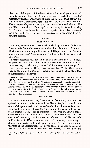ular barite, later quartz interstitial between the barite grains and eating into some of them, a little pyrite, finely crystalline cinnabar replacing quartz, coarse grains of cinnabar in small vugs, earthy cinnabar mixtures associated with copper carbonates, and limonite. There are probably some small grains of mercurian tetrahedrite. The ore differs from that at Punitaqui in containing barite and in being free from specular hematite; in these respects it is similar to most of the deposits described below. Its occurrence in granodiorite is an unusual feature.

#### ILLAPEL

#### **AZOGUES MINE**

The only known quicksilver deposit in the Departamento de Illapel, Provincia de Coquimbo, was not examined for this report. It is about 20 kilometers in a straight line north of Illapel, and about 14 kilometers northwest of Aucó station on the longitudinal railroad, north of Illapel.

Little<sup>23</sup> described the deposit in only a few lines as ". . . a hightemperature vein in granite. The oxidized zone, containing malachite, azurite, and cinnabar, was worked for mercury and copper."

A report written in 1940 by Ing. Carlos Chait W. for the Caja de Credito Minero of the Chilean Government contains information that is summarized as follows:

Some old workings, consisting of three mines, were originally worked for copper, and the mercury minerals were left in the dump. . The main vein, 27 to 45 centimeters wide and traced for 50 meters, is composed of quartz, malachite, azurite, chalcocite, cinnabar, and in some places abundant limonite. A few samples from cuts about 50 centimeters long assayed slightly over 0.2 percent mercury, and contained a little gold, silver, and copper. Samples from another vein assayed about 0.1 percent mercury. In 1940 there was one retort, with a capacity of 100 kilograms.

#### ANDACOLLO

In the Andacollo district, Provincia de Coquimbo, there are two quicksilver mines, the Dichosa and the Merceditas, both of which are south of the gold district and town of Andacollo. The town is reached by a good road, which leaves the longitudinal highway and railroad at Andacollo station south of Coquimbo. The two quicksilver mines are separated by a spur and have no direct connection by road. As mentioned previously, the first discovery of mercury in Chile was made in this district in 1778. Ore was mined intermittently, depending on the mercury market and local requirements. The mines were idle at the time of the examination. Domeyko studied the ores in the latter part of the last century, and was particularly interested in the

<sup>28</sup> Little, J. M., The geology and metal deposits of Chile, p. 162 New York, Branwell Co., 1926.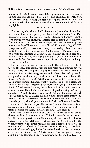mercurian tetrahedrite and its oxidation product, the earthy mixture of cinnabar and oxides. The mines, when examined in 1944, were the property of Sr. Tomás Whittle, who acquired them in 1916. As in most small idle mercury mines, the ore remaining in sight was negligible.

#### JDICHOSA MINE

The mercury deposits at the Dichosa mine (the ancient iron mine) are in purplish-brown, porphyritic hornblende andesite of the Porfiritica formation. This rock is clearly extrusive and, away from the part altered by vein solutions, contains cloudy feldspar phenocrysts. About 45 meters southeast of the north portal, there is an outcrop, 2 or 3 meters wide, of limestone striking N.  $50^{\circ}$  W. and dipping  $60^{\circ}$  SW. (magnetic north). Brecciated cherty rock having about the same attitude crops out 30 meters east of the limestone. This outcrop may be a southern extension of a large mass of highly silicified rock that extends for 30 meters north of the round open cut and is about 10 meters wide, but the rock surrounding it is concealed by mine dumps and surface rubble.

The north adit, extending eastward into the hillside, passes for 3 meters through porphyritic rock dipping west, then through several meters of rock that is possibly a much-altered tuff, then through 5 meters of breccia whose original nature has been obscured by weathering and other alteration, and then into silicified rock as far as the first drift (pi. 28). This drift follows a quartz vein 5 to 10 centimeters thick, which contains limonite, earthy cinnabar, and copper stain, and which is bordered by shattered silicified rock and gouge. Raises from the drift lead to small stopes, the backs of which in 1944 were about 5 meters above the adit level and revealed good showings of earthy cinnabar. About 10 meters beyond the drift the adit crosses a network of fractures in which a short inclined winze exposes some earthy cinnabar. The adit is accessible for 9 meters more to the point, 42 meters from the portal, where it joins another drift that follows a mineralized fault zone. This zone is parallel to the first and likewise contains earthy cinnabar, limonite, and quartz. This zone and the inclined winze lie under the large, circular open cut. (See plate 28.) winze lie under the large, circular open cut.

The portal of the south adit is about 180 meters east-southeast of the north adit and 15 meters lower. This adit, accessible for 90 meters, is entirely in prophyritic andesite and clay derived from it. Twelve meters from the portal the adit reaches a main fault and turns slightly to follow it; there the entire width of the adit is occupied by clay along the fault and its subsidiary fractures. Some of the clay is very light colored and may be largely hydrothermal rather than true fault gouge; other parts of it are gray. Thirty meters from the portal a stope about 8 meters long and 1.5 to 3 meters wide has been put up from the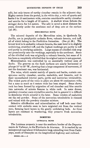adit, but only traces of earthy cinnabar remain in the adjacent clay. Eighty meters from the portal, in the white clay, a vein of quartz and barite 5 to 10 centimeters wide, contains considerable earthy cinnabar and azurite for a length of 10 meters. A shallow winze follows the stringer down for 3.5 meters. The adit is caved a short distance bevond, directly under the southeast end of deep cuts at the surface  $(pl. 28).$ 

#### **MERCEDITAS MINE**

The mineral deposits of the Merceditas mine, in Quebrada La Jarilla, are in porphyritic andesite flows, volcanic breccia, and tuff, all of which belong to the Porfiritica formation. (See pi. 29.) The lowest level is in andesitic volcanic breccia, the next level is in slightly undulating, stratified tuff, and the highest workings are partly in tuff and partly in overlying andesite. Large masses of silicified rock crop out prominently near the workings, especially to the northeast. Some of the silicified rock was originally a volcanic breccia, but some of it has been so completely silicified that its original nature is not apparent.

Mineralization was controlled by an essentially vertical zone of faults. The grooves on the fault surfaces are nearly horizontal or plunge 15° to 25° W., showing that a large component of movement, if not the dominant one, was horizontal.

The veins, which consist mainly of quartz and barite, contain conspicuous earthy cinnabar, azurite, malachite, and limonite, and in their unweathered interior parts, pyrite and mercurian tetrahedrite. The widest parts of the veins in place are about 60 centimeters wide, but a zone as much as 4 meters wide has been stoped. Some showy rock has been formed by migration of red cinnabar and blue azurite into networks of minute fissures in white rock. In some druses, powdery cinnabar coats crystalline azurite, but in general it is difficult to determine which mineral is the later. Some veinlets of malachite cut the red powder. Some of the mercurian tetrahedrite is rimmed and veined with the powdery cinnabar mixture.

Selective silicification and mineralization of tuff beds near their contact with andesite seem to have migrated out from the vertical zone, forming hard layers in the gently undulating beds. As these layers are resistant to weathering, they preserve fresh mercurian tetrahedrite.

#### **DOMEYKO**

#### **LUISIANA MINE**

The Luisiana property is near the southern border of the Departamento de Vallenar, in the Provincia de Atacama. It is reached by an unimproved road about 10 kilometers long, extending west from Cachiyuyo, south of Domeyko on the longitudinal highway and railroad.

 $890880 - 50 - 3$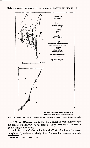

**FIGUKH 42. Geologic map and section of the Luisiana quicksilver mine, Domeyko, Chile.**

In 1943 to 1944, according to the operator, Sr. Meyenberger,<sup>24</sup> about 100 tons of quicksilver ore was mined. It was treated in two retorts of 100-kilogram capacity.

The Luisiana quicksilver mine is in the Porfiritica formation metamorphosed by an intrusive body of the Andean diorite complex, which

**<sup>24</sup> Oral communication July 2, 1944.**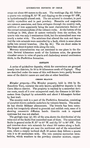crops out about 600 meters to the east. The workings (fig. 42) follow a quartz vein striking N. 35° W. and dipping on the average 65° SW., in hydrothermally altered rock. The ore mineral is cinnabar, in part visibly crystalline and in part powdery. Hematite and magnetite are common associates, and form stringers through the country rock, addition of iron apparently being the most characteristic feature of the contact metamorphism of the volcanic rocks. At the bottom of the workings in 1944, about 25 meters vertically from the surface, the quartz vein was only 5 centimeters thick, but the mineralized zone was nearly a meter wide. The solutions that altered the rock and deposited the vein minerals were controlled by a fault, which in some places splits into several branches. (See fig. 42.) The ore shoot seems to have been about 2 meters wide along the vein.

Mercury mineralization was not restricted to one place in the district. Several kilometers south of the Luisiana mine, the granular cinnabar occurs in veins of quartz and chalcedony several centimeters thick, in the Porfiritica formation.

#### **COPIAPO**

A series of quicksilver deposits, which for convenience are grouped loosely into districts, lie 35 to 80 kilometers south of Copiapo. They are described under the name of this well-known town partly because some of the district names are used also at other localities.

#### **CERRO BLANCO**

*Mirador property.* The Mirador property, held in 1944 by Sr. Benedicto Toro, contains the only known quicksilver deposits in the Cerro Blanco district. The property is reached by a somewhat devious route, much of it over unimproved road; the distance is 125 kilometers from Copiapó by automobile and about 3 kilometers farther by foot trail.

The country rock is a part of the Porfiritica formation, consisting of purplish-brown andesite underlain by volcanic breccia. The andesite has cloudy feldspar phenocrysts. The breccia has been extensively but irregularly altered to greenish and reddish rock, some of it showing concentric diffusion bands. Granitic rock is exposed upstream but was not studied.

The geologic map (pi. 30) of the area shows the distribution'of the veins and of the faults that controlled most of them. The mineralized faults in general strike N. 37° to 40° W. and dip 75° to 80° SW. Pits and trenches show vein minerals for about 500 meters along a fault. The largest workings are near the northwest end of the mineralized zone, where a steeply inclined shaft 18 meters deep follows a quartz vein 2 to 20 centimeters wide. The vein contains mercurian tetrahedrite, which weathers to the powdery cinnabar mixture, copper-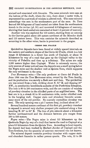stained and associated with limonite. The same minerals were seen at the bottom of the shaft, where the vein, there about 1 meter wide, is represented by a network of veinlets in altered rock. -The same mineral assemblage was seen in the southeastern part of the zone. Sr. Toro burned 400 kilograms of hand-sorted ore taken from the southeastern trench in the ravine (pi. 30) and recovered 4.8 kilograms of mercury, showing that hand-sorted ore contained at least 1.2 percent of mercury.

Another vein was explored for 150 meters, starting from an outcrop in the Carrizo gulch about 250 meters northeast of the Mirador shaft and 115 meters lower. This vein contains the minerals described as occurring in the other veins; barite is prominent in the gangue.

#### **CERRO DEL, FRAIL.E**

Quicksilver deposits have been found at widely spaced intervals on the eastern and southern slopes of the Cerro del Fraile, which is a low range 55 kilometers in a direct line south of Copiapó, or about 75 kilometers by way of a road that goes up the Copiapo valley to the vicinity of Pabellón and then up a tributary. The mines are only 1,500 meters higher than Copiapo. Water is extremely scarce; the only sources of water noticed near the deposits are a small spring below the Negra mine and the shallow well at Quinta Toro, which supports the only settlement in the area.

*Tres Hemnanos mine.* The only producer at Cerro del Fraile in June 1944 was the Tres Hermanos mine, owned by the Toro family, and its production was merely a flask now and then. The quicksilver ore was mined from a lode, striking about N. 65° E. and dipping 50° **NW.,** in porphyritic hornblende andesite of the Porfiritica formation. The lode is 80 to 100 centimeters wide, and the ore consists of veinlets of powdery cinnabar in the silicified parts of an argillized zone. The best ore is in a streak 40 to 50 centimeters wide, under silicified rock in the hanging wall. Copper stain and abundant limonite accompany much of the red powder. No coarsely crystalline cinnabar was seen. The only opening was a pit 7 meters deep, inclined about 50°.

Several hundred meters northeast of this first pit, powdery cinnabar is exposed in several very shallow prospect pits scattered along a line trending N. 50° to 60° E. The line of pits extends about a kilometer farther northeastward and the distance between pits ranges from 100 to 550 meters.

*Negra mine.* The Negra mine is about 3.3 kilometers up the Quebrada Negra by way of a trail that leaves the road to Copiapó at a place 3.3 kilometers from the Quinta Toro. According to local reports, the deposit had been worked by Herbert Jander of Copiapo and the Toro brothers, but the quantity of mercury recovered was not known.

The mineral deposit contains powdery cinnabar with copper stain and abundant limonite in rather porous quartz. The vein, 12 to 20-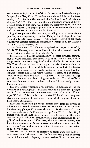centimeters wide, is in the Porfiritica formation and extends along a lamprophyre dike, 50 to 100 centimeters wide, which is much altered to clay. The dike is in the footwall of a fault striking N. 20° E. and dipping 75° NW. There are two shallow workings, within 18 meters of each other, on this vein, which crops out northeast of the pits for about 50 meters. The deepest part is about 8 meters below the surface and the greatest horizontal extent is 11 meters.

A grab sample from the vein zone, including material with visible powdery cinnabar, as assayed by J. J. Fahey of the Geological Survey, yielded only 0.09 percent mercury. The mercury content of the small quicksilver deposits exposed in abandoned workings in all the districts is believed to be similarly low.

Candelaria mine.-The Candelaria quicksilver property, owned by Mr. B. W. Ramsey, is on the southeast flank of the Cerro del Fraile, about 3 kilometers by trail from Quinta Toro.

The quicksilver deposits consist mainly of quartz stringers containing powdery cinnabar, associated with much limonite and a little copper stain, in zones of argillized rock of the Porfiritica formation. The Porfiritica formation in this region consists of volcanic breccia, tuff metamorphosed to a hornfelslike rock at the contact of intrusive andesite porphyry, and probably andesitic lava. Some powdery cinnabar occurs also along joints parallel to veins, and is disseminated through argillized rock. Irregularities of the workings suggest that there were pockets of higher-grade ore. The mineralizing solutions followed a zone of minor faults, which are nearly vertical but undulating.

The two largest workings with showings of cinnabar are at the northern end of the group. The northern one is a stope that plunges 40° N. for 15 meters along an altered zone that strikes N. 30° E. and dips  $75^{\circ}$  NW. This zone is about 1 meter thick and contains quartz stringers as much as 5 centimeters thick which in general do not have sharp boundaries.

The other consists of a pit about 5 meters deep, from the bottom of which a drift extends 5 meters toward the south and an incline about 5 meters long plunges 40° toward the north. In the west wall of the drift an undulating fault ranges in dip from  $80^\circ$  E. to  $80^\circ$  W.: 2 meters south of the pit the fault swings west into the wall. Brilliantred powdery cinnabar was seen in veinlets and impregnating the argillized and somewhat silicified rock, which was deeply stained with limonite in a zone about 20 centimeters in maximum width but which narrows to 5 centimeters at a height of 2 meters above the bottom of the north trench.

Prospect holes in which no mercury minerals were seen follow a fault zone toward the south. In the first prospect, about 20 meters south of the cinnabar deposit, the fault strikes N. 32°-E. and dips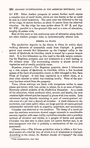65° NW. Other shallow prospects 25 meters farther south expose a complex zone of small faults, which are also barren as far as could be seen in a brief inspection. The same zone was followed to the top of the ridge, 30 meters farther, or about 75 meters from the observed cinnabar. On the ridge the zone strikes about N. 30° E. and dips 65° NW., parallel to a fine-grained dike and to a zone of alteration, roughly 40 meters wide.

East of this more or less continuous zone of alteration along faults are other shallow prospect holes in hydrothermally altered rock.

#### **SIERRA LA PLATA**

The quicksilver deposits in the Sierra la Plata lie within short walking distances of automobile roads from Copiapó. A graded gravel road extends 26.5 kilometers up the Copiapo valley to the mouth of Quebrada de Cerrillos, which is traced by a poorer branch road. It is 12.4 kilometers up this road to the side canvon contain-It is 12.4 kilometers up this road to the side canyon containing the Eegalona prospect, and 14.3 kilometers to a trail leading to the Alianza mine. The surrounding country is almost devoid of vegetation and of readily available water.

*Regalona prospect.*—The Regalona property, about 2 kilometers up a side canyon of Quebrada de Cerrillos, within a few hundred meters of the limit of automobile travel, in 1944 belonged to Sra. Sara Plaza of Copiapó. It had been registered as a cobalt claim, at a time when interest in cobalt was booming locally. None of the mercury has been mined from the property.

Veins, whose outcrops are black with manganese oxides in some places and brown with iron oxides in others, lie in an area of hydrothermally altered andesite of the Porfiritica formation. As a result of the alteration, which produced silica, sericite, and kaolin, the rock contains light-colored patches stained in places with iron oxides. Late calcareous spring deposits consisting in part of coarse-grained calcite occur at a pit near a deposit of cinnabar. A short distance to the southwest, near some aplitic dikes, are large patches of coarse-grained metamorphic minerals such as scapolite, amphibole, and tourmaline.

Cinnabar was observed at two localities. The dump of a caved pit near the southern occurrence showed copper minerals in considerable amount, together with some visibly crystalline cinnabar and a powdery mixture of cinnabar and oxides, in a gangue of barite and quartz. Cinnabar was also seen in place about 115 meters farther east, in an iron-manganese vein that is probably a continuation of the one just mentioned.

*Alianza mine.* The Alianza quicksilver mine is within a few hundred meters of a road by way of which it is 41 kilometers to Copiapó. According to the owner, Sr. Herbert Jander of Copiapó,<sup>25</sup> the mine

<sup>25</sup> Oral communication, June 1944.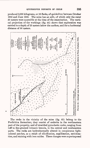produced 2,000 kilograms, or 58 flasks, of quicksilver between October 1942 and June 1943. The mine has an adit, of which only the outer 50 meters were accessible at the time of the examination. The vertical projection of the workings (fig. 44) shows that exploration was carried to a depth of 25 meters below the surface, and for a horizontal distance of 90 meters.



The rocks in the vicinity of the mine (fig. 43) belong to the Porfiritica formation; they consist of andesite in the northeastern part of the property, and of stratified pyroclastic rocks, ranging from tuff to fine-grained volcanic breccia, in the central and southeastern parts. The rocks are hydrothermally altered in conspicuous lightcolored patches, as a result of silicification, argillization, sericitization, and staining with iron oxides. These changes were superimposed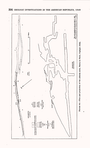

FIGURE 44.—Plan and projection of the Alianza mine, Sierra la Plata, Copiapó, Chile.

 $\ddot{\cdot}$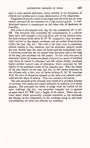upon a more general alteration, which resulted in the formation of chlorite and epidote and in some alkalinization of the plagipclase.

Fragments of granitic rocks on the ridges near the mine are not from nearby outcrops but are remnants of a high-terrace gravel. A welldeveloped terrace is conspicuous on the other side of Quebrada de Cerrillos.

The rocks in the mapped area (fig. 43) dip consistently 20<sup>°</sup> to 30<sup>°</sup> SE. The structure that controlled the mineralization is a narrow shear zone, well exposed in the long lower adit of the Alianza mine. Its fault surfaces strike about N.  $60^{\circ}$  W. (magnetic); they are essentially vertical or dip steeply northeast, and are rather discontinuous within the zone (fig. 44). The rock in the fault zone is completely altered, largely to clay minerals, and the alteration extends across the area farther than the clear-cut faults and the mineralized area; it continues northwest for 150 meters from the lower adit to the edge of the map, and southeast for 350 meters. In line with this zone of alteration, about 180 meters southeast of its end, is a patch of silicified rock about 40 meters in diameter, and 320 meters farther southeast begins another narrow zone of alteration, which continues for 250 meters, to the southeast corner of the mapped area. Near the center of the area shown on the map (fig. 43), or 350 meters southeast of the Alianza adit, a thin vein of barite striking N. 55° W. branches from the zone of alteration exposed at the mine and extends northwestward for about 50 meters. This vein seemed to be barren.

The vein minerals at the Alianza mine consist of a powdery mixture of cinnabar with oxides and copper minerals of oxidation, in a barite gangue. The principal ore shoot, to judge from the outline of the mine workings (fig. 44), was somewhat irregular but in general plunged about 55° NW. over a length of 25 meters. There was another shoot, which apparently plunged somewhat to the southeast, but because of the irregularity of the workings along it, and their inaccessibility, its form and attitude are uncertain.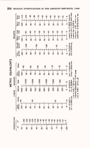52 T 7 ii 1 i ! i i 1 i 1 «» 1 u — u<br>342 longton<br>323 short ton<br>25 lb.<br>metric ton<br>72 metric ton metric ton = 2,205 lb.<br>long ton = 1.0161 metric ton<br>short ton = 0.9072 metric ton <sup>S</sup> o o o o . If) 't OO CM ទីធំ 5 ខី ខី ខី ខី ខី ខី 0 0 0<br>1 . . . . 1 2 c I , <del>╷</del>╙╓┦╾╫╌┞╼┸┰┸╁┸╁┸┰┸┰┸┰ | |<br>¤ 0  $\frac{1}{2}$ <br> $\frac{1}{2}$   $\frac{1}{2}$   $\frac{1}{2}$   $\frac{1}{2}$   $\frac{1}{2}$   $\frac{1}{2}$   $\frac{1}{2}$   $\frac{1}{2}$   $\frac{1}{2}$   $\frac{1}{2}$   $\frac{1}{2}$   $\frac{1}{2}$   $\frac{1}{2}$   $\frac{1}{2}$   $\frac{1}{2}$   $\frac{1}{2}$   $\frac{1}{2}$   $\frac{1}{2}$   $\frac{1}{2}$   $\frac{1}{2}$   $\frac{1}{2}$   $\frac{1}{2}$   $\frac{1}{2}$   $\frac{1}{2}$   $\frac{1}{2}$   $\frac{1}{2}$   $\frac{1}{2}$ £> in «\* 00 CM r **WEIGHTS** c"g O O O C OQ CD oo r-» i 3 O O O O C 3 if) \*t ro CM i metric 1<br>metric 1<br>metric 1<br>long ton<br>\$hort to  $\sim$  $\begin{array}{|c|c|c|c|c|}\hline \dots & \pi & \pi & \pi \ \hline \dots & \dots & \dots & \dots \ \hline \dots & \dots & \dots & \dots & \dots \ \hline \dots & \dots & \dots & \dots & \dots \ \hline \dots & \dots & \dots & \dots & \dots \ \hline \dots & \dots & \dots & \dots & \dots \ \hline \dots & \dots & \dots & \dots & \dots & \dots \ \hline \dots & \dots & \dots & \dots & \dots & \dots \ \hline \dots & \dots & \dots & \dots & \dots & \dots \ \hline \dots & \dots & \dots & \dots & \dots & \dots \ \hline \dots & \dots & \dots & \dots & \dots &$ . i o w | ', ', ', ', 1-88  $100 -$ I ' I I I I o o o o c m ^ fo CNJ r- 8- R S > c<sup>1</sup> D U<br>2.2046 lb.<br>0.4536 kg. Pounds<br>(avoi*t*)<br>- 200<br>- 150 **1b.= 0.4536 kg.**  $-100$ <br> $-50$  $\frac{1}{2}$ II 1 1 1 1 1 ╺╤╕<br>╜╾┪╾┽┷┷┽┷<del>╌┪╌┧╌┥┥╌┥</del>╾┥ °i 8 ooooooo oo 1<br>ہ 1 1 <sup>i</sup>' ' ' ' 1 ' Kilo-<br>grams<br>100 -<u>୪ ୪ ୪ ଜ ଜ ନ ଜ ନ</u>  $\tilde{\bar{\vec{z}}}$   $\tilde{\vec{z}}$ ق ا سا  $\Xi$  ဝ $\tilde{\Xi}$ စီ  $\mathbf{j}$  , it is a consequence of  $\mathbf{S}$  $\overline{\bf 1}$  |  $\overline{\bf 2}$  &  $\bf 3$  &  $\bf 4$  &  $\bf 8$  &  $\bf 8$ 1 1 1 1 1 1 II 1 1 1 1 i 1 II III '".l""l" 'I' <sup>1</sup> " '"' '" I <sup>1</sup> " I <sup>1</sup> '"  $\ddot{\bm{\Sigma}}$  | . SS9°o CDOOr^voinsroocMr-i 00 °oo P = S u ^g <sup>0</sup>  $\begin{array}{c} \text{EQUN} \ \text{Eig} \ \text{Eig} \ \text{Eig} \ \text{Eig} \ \text{Eig} \ \text{Eig} \end{array}$ ھ = G <del>|الرابراہ</del> 80 o o o o o 2 IC<br>ລິມເ⊑<br>ຈິ ወ M  $100 \frac{1}{1}$  500<br>  $0 \frac{1}{1}$   $0 \frac{1}{1}$   $0 \frac{1}{1}$   $0 \frac{1}{1}$   $1 \frac{3}{2800}$   $1 \frac{1}{20}$   $1 \frac{3}{20}$   $1 \frac{3}{20}$   $1 \frac{3}{20}$   $1 \frac{3}{20}$   $1 \frac{3}{20}$   $1 \frac{3}{20}$   $1 \frac{3}{20}$   $1 \frac{3}{20}$   $1 \frac{3}{20}$   $1 \frac{3}{20}$   $1 \frac{3}{20}$   $\frac{1}{2}$   $\frac{1}{2}$   $\frac{1}{2}$   $\frac{1}{2}$   $\frac{1}{2}$   $\frac{1}{2}$   $\frac{1}{2}$   $\frac{1}{2}$   $\frac{1}{2}$   $\frac{1}{2}$   $\frac{1}{2}$   $\frac{1}{2}$   $\frac{1}{2}$   $\frac{1}{2}$   $\frac{1}{2}$   $\frac{1}{2}$   $\frac{1}{2}$   $\frac{1}{2}$   $\frac{1}{2}$   $\frac{1}{2}$   $\frac{1}{2}$   $\frac{1}{2}$  o 0<br>000<br>1500<br>1500 in o oo co «> £ 0\*00 ិន ន ន អ្ន ន្ម<br>"It<del>hinh Infinition</del>  $\stackrel{_\infty}{\circ}$   $\stackrel{_\infty}{\circ}$   $\stackrel{_\infty}{\circ}$   $\stackrel{_\infty}{\circ}$   $\stackrel{_\infty}{\circ}$   $\stackrel{_\infty}{\circ}$ **)**<br>ਬ ≥੍ਰਿ<sub>ੰਗ ਮਾ</sub> S 8 8 8 8 8 8 9 9 5 5 9<br>OOO 9 8 8 9 8 9 9 9 5 9 9 9 9 9 9 1 ro 6 u CD <sup>8</sup> CDoor^vDin^' O O O O O O o O Oc\*-' (ii^ <Y'CMr-i fcx-Ej, ≆| ≥ັລ  $\begin{array}{c} \kappa \ \text{s} \ \text{d} \ \text{d} \ \text{d} \ \text{d} \ \text{d} \ \text{d} \ \text{d} \ \text{d} \ \text{d} \ \text{d} \ \text{d} \ \text{d} \ \text{d} \ \text{d} \ \text{d} \ \text{d} \ \text{d} \ \text{d} \ \text{d} \ \text{d} \ \text{d} \ \text{d} \ \text{d} \ \text{d} \ \text{d} \ \text{d} \ \text{d} \ \text{d} \ \text{d} \ \text{d} \ \text{d} \ \text{d} \ \text{d} \ \text{d}$ w<br>11  $\begin{array}{c|c}\n & 0 \\
& -0 \\
& 0 \\
& 0.3937 \text{ in.} \\
& 0.3937 \text{ on.} \\
& 0.3937 \text{ on.} \\
& 0.3937 \text{ on.} \\
& 0.3937 \text{ on.} \\
& 0.3937 \text{ on.} \\
& 0.3937 \text{ on.} \\
& 0.3937 \text{ on.} \\
& 0.3937 \text{ on.} \\
& 0.3937 \text{ on.} \\
& 0.3937 \text{ on.} \\
& 0.3937 \text{ on.} \\
& 0.3937 \text{ on.} \\
& 0$ <u>្រ</u><br>ខ្មែ ? , ? 1 1 1 1 II ooo OOQ 0000"-" Centi-<br>neters<br>100 — CDOOf^-^Oin^COCMr-i fc^ **.0000** S°,2R <sup>0</sup> oo°oo ooo oocMrHOcDoor^ioin^-oocMrH **EMPERATURE** ů, cooo a a a a a a a a<br>Lintangunia a a a a a ပိ m **तनन** 

**398** GEOLOGIC INVESTIGATIONS IN THE AMERICAN REPUBLICS, 1949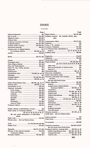### INDEX

i.

| $\sim$ |  |
|--------|--|

 $\ddot{\phantom{0}}$ 

 $\ddot{\phantom{0}}$ 

 $\cdot$ 

| Page                                                                                            | Page                                                                   |
|-------------------------------------------------------------------------------------------------|------------------------------------------------------------------------|
| 364<br>Acknowledgments                                                                          | Illapel district 362, 387-389                                          |
|                                                                                                 | Inclusion granite. See Andean diorite com-                             |
| Algarrobo mine______________________________ 386–387                                            | plex.                                                                  |
| Alianza mine_______________________________ 394-397                                             |                                                                        |
| Analyses of mercury minerals 367, 368                                                           | Lamprophyre dikes 366, 374, 381                                        |
| Andacolla district_______________________ 362, 387–389                                          | 369                                                                    |
|                                                                                                 | Little, J. M., quoted<br>387                                           |
| Associated minerals 368-370                                                                     |                                                                        |
| Azogues mine, in Illapel district<br>387                                                        | Los Mantos mine, description of 378-379                                |
| in Punitaqui district 380-382, pl. 20                                                           |                                                                        |
|                                                                                                 | Luisiana mine 389-391                                                  |
|                                                                                                 |                                                                        |
| Barite <sub>--------------------------------</sub> 369, 371, 387                                | Malachite <sub>--------------------------------</sub> 368-369          |
|                                                                                                 | Manganese oxides<br>370                                                |
|                                                                                                 |                                                                        |
| Candelaria mine 393-394                                                                         | pls. 20, 21, 22, 23, 24, 25, 26, 27, 28, 29, 30                        |
| Cerro del Fraile district 392-394                                                               | index map<br>362                                                       |
| Chait W., Ing. Carlos, quoted<br>387                                                            | plan and projection of Alianza mine<br>396                             |
| 369<br>Chalcocite                                                                               | 364                                                                    |
| Chalcopyrite<br>369                                                                             |                                                                        |
| Champurria mine 379-380, pls. 20, 26                                                            | Mercurian tetrahedrite 367-368                                         |
| 367                                                                                             | 398<br>Metric equivalents, table                                       |
| Copiapó district 361-362, 391-397                                                               | Minerals, associated with mercury 368-370                              |
| Culebra adit 382-384, pl. 20                                                                    |                                                                        |
|                                                                                                 | See also individual mines.                                             |
| Delirio-Republicana mine 384-386, pls. 20, 27                                                   | Mines, Algarrobo 386-387                                               |
| Dichosa mine______________________ 388–389, pl. 28                                              |                                                                        |
| Distribution of ore____________________________ 362,372                                         | Azogues mine, Illapel district<br>387                                  |
| Districts, Andacolla 387–388                                                                    | Punitaqui district 380–382, pl. 20                                     |
|                                                                                                 | Candelaria 393-394                                                     |
| Cerro del Fraile 392-394                                                                        |                                                                        |
|                                                                                                 | Culebra adit 382-384, pl. 20                                           |
| Domeyko <sub>---------------------------</sub> 389-391                                          | Delirio-Republicana 384-386, pls. 20, 27                               |
| Huanillo <sub>----------------------------</sub> 386-387                                        | Dichosa 388-389, pl. 28<br>Los Mantos 378-379, pls. 21, 22, 23, 24, 25 |
| 387                                                                                             |                                                                        |
| Punitaqui 373-386                                                                               |                                                                        |
| Sierra la Plata 394-397                                                                         | Mirador property____________________ 391-392, pl. 30                   |
|                                                                                                 |                                                                        |
|                                                                                                 | Regalona prospect<br>394                                               |
| Faults, relation to distribution of rocks<br>366<br>Fault zones, in Punitaqui district 374-376, | Tres Hermanos<br>292                                                   |
| pls. 20, 21, 22, 23, 24, 25, 26, 27.                                                            | Mirador property 391-392, pl. 30                                       |
| See also under description of individual<br>mines.                                              | Molle mine. See Los Mantos mine.                                       |
| Field work 363–364                                                                              | 367<br>Native mercury                                                  |
| Florida mine. See Los Mantos mine.                                                              | Negra mine 392-393                                                     |
|                                                                                                 |                                                                        |
| Gold 371, 378, 382, 384, 385-386                                                                |                                                                        |
|                                                                                                 |                                                                        |
|                                                                                                 | See also under individual mines.                                       |
| Hematite 369, 371, 377, 382                                                                     | Punitaqui district, Azogues mine 380-382, pl. 20                       |
| History, of the mineral deposits 370–372                                                        | Delirio-Republicana mine 384-386, pls. 20, 27                          |
| of mercury mining<br>363                                                                        | Champurria mine 379-380, pls. 20, 26                                   |
| Huanillo District 362,386–387                                                                   |                                                                        |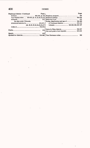l,

# 400 INDEX

J,

| Page<br>Punitaqui district-Continued                               | Page                                                                                          |
|--------------------------------------------------------------------|-----------------------------------------------------------------------------------------------|
| $location$ <sub>---------------------------</sub> 362, 373, pl. 20 | 394                                                                                           |
| Los Mantos mine 378-379, pl. 21, 22, 23, 24, 25                    | Regional geology 362-364                                                                      |
|                                                                    | 373                                                                                           |
| See also under Minerals.                                           |                                                                                               |
|                                                                    |                                                                                               |
|                                                                    | pls. 20, 21, 22, 23, 24, 25, 26, 27   volcanic_________________________ 364-365, 389, 395-397 |
|                                                                    |                                                                                               |
|                                                                    | Sierra la Plata district 394-397                                                              |
|                                                                    | 370                                                                                           |
|                                                                    | 370                                                                                           |
|                                                                    | 392                                                                                           |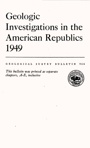# Geologic Investigations in the American Republics 1949

GEOLOGICAL SURVEY BULLETIN 964

*This bulletin was printed as separate chapters, A-E, inclusive*

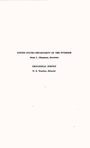# $\ddot{\phantom{a}}$ **UNITED STATES DEPARTMENT OF THE INTERIOR**

 $\ddot{\phantom{0}}$ 

**Oscar L. Chapman,** *Secretary*

#### **GEOLOGICAL SURVEY**

**W. E. Wrather,** *Director*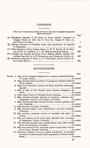## **CONTENTS**

[The letters in parentheses preceding the titles are those used to designate the papers **for**  separate publication]

|                                                                                                                                     | Page                                                                                                                               |
|-------------------------------------------------------------------------------------------------------------------------------------|------------------------------------------------------------------------------------------------------------------------------------|
| (A) Manganese deposits of the Serra do Navio district, Territory of<br>Amapá, Brazil, by John Van N. Dorr 2d, Charles F. Park, Jr., | 1                                                                                                                                  |
| (B) Mineral resources of Colombia (other than petroleum), by Quentin                                                                |                                                                                                                                    |
|                                                                                                                                     | 53                                                                                                                                 |
| (C) Mica deposits in Minas Gerais, Brazil, by W. T. Pecora, M. R. Klep-                                                             |                                                                                                                                    |
|                                                                                                                                     | 205                                                                                                                                |
| minican Republic, by A. H. Koschmann and Mackenzie Gordon, Jr.                                                                      | 307                                                                                                                                |
| (E) Quicksilver deposits of Chile, by J. F. McAllister, Hector Flores, W.,                                                          | 361                                                                                                                                |
|                                                                                                                                     | per, and D. M. Larrabee, A. L. M. Barbosa and Resk Frayha<br>(D) Geology and mineral resources of the Maimon-Hatillo district, Do- |

## ILLUSTRATIONS

| PLATE 1. Map of the Amapari-Araguari river systems, Federal Territory |
|-----------------------------------------------------------------------|
| 2. Map showing relative positions of manganese deposits, Serra do     |
|                                                                       |
| 3. Map of the Clemente I, Navio, De Paiva, and Fritz Ackermann        |
|                                                                       |
| 4. Map of part of the Chumbo area, showing manganese de-              |
|                                                                       |
| 5. Index map of part of Colombia, South AmericaIn pocket              |
| 6. Map showing principal deposits of antimony, asbestos, iron,        |
| manganese, mercury, and sulphur, ColombiaIn pocket                    |
| 7. Map showing principal sources of barite, cement, gypsum, and       |
|                                                                       |
| 8. Map showing coal fields, ColombiaIn pocket                         |
| 9. Map showing copper, lead, molybdenum, and zinc prospects,          |
|                                                                       |
| 10. Map showing principal sources of emeralds and gold, Co-           |
|                                                                       |
| 11. Plan and sections of the lower adits, Quindio mine, municipio     |
| of Cajamarca, Tolima, ColombiaIn pocket                               |
| 12. Map showing principal mica, optical calcite, and quartz crystal   |
| mines and prospects, ColombiaIn pocket                                |
| 13. Map and sections of the Alumbral quartz crystal mine, munici-     |
| pio of Muzo, Boyacá, Colombia_______________________In pocket         |
| 14. Schematic diagrams showing spatial distribution of principal      |
| minerals in symmetrically zoned pegmatites of Minas Gerais,           |
|                                                                       |
|                                                                       |

 $\overline{\phantom{a}}$ 

Page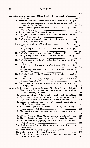IV CONTENTS

|        |                                                                                                                                   | Page     |
|--------|-----------------------------------------------------------------------------------------------------------------------------------|----------|
|        | PLATE 15. Cruzeiro mica mine (Minas Gerais), No. 1 pegmatite, Toquinho                                                            |          |
|        | 16. Structure sections showing asymmetrical zone in the Borges                                                                    |          |
|        | pegmatite and segregation patches in the Levindo Alfreres<br>pegmatite, Minas Gerais_______________________________ In pocket     |          |
|        | 17. Sketches showing zones and mica shoots in selected pegmatites,                                                                |          |
|        | 18. Index map of the Dominican Republic In pocket                                                                                 |          |
|        | 19. Geologic map and sections of the Maimón-Hatillo district,                                                                     |          |
|        | 20. Geologic and topographic map of the Punitaqui quicksilver<br>district, Coquimbo, Chile In pocket                              |          |
|        | 21. Geologic map of the 170 level, Los Mantos mine, Punitaqui,                                                                    |          |
|        | 22. Geologic map of the 250 level, Los Mantos mine, Punitaqui,                                                                    |          |
|        | 23. Geologic sections, Los Mantos mine, Punitaqui, Chile In pocket                                                                |          |
|        | 24. Geologic map of the 330 adit, Los Mantos mine, Punitaqui,                                                                     |          |
|        | 25. Geologic maps of exploration adits, Los Mantos mine, Puni-                                                                    |          |
|        | 26. Geologic map of the 370 level, Champurria mine, Punitaqui,                                                                    |          |
|        | 27. Geologic maps and sections of the Delerio-Republicana mine,<br>Punitaqui, Chile________________________________ In pocket     |          |
|        | 28. Geologic sketch of the Dichosa quicksilver mine, Andacolla,                                                                   |          |
|        | 29. Geologic and topographic sketch map, Merceditas quicksilver<br>deposit, Andacolla, Chile___________________________ In pocket |          |
|        | 30. Geologic map of the Mirador quicksilver deposit, Cerro Blanco,<br>Copiapó, Chile___________________________________ In pocket |          |
| FIGURE | 1. Index map showing the location of the Serra do Navio district.                                                                 | $\bf{2}$ |
|        | 2. Sketch of the Quindío mercury mine area, municipio of Caja-<br>marca, Tolima, Colombia                                         | 152      |
|        | 3. Sketch map of part of the Intendencia del Chocó, Colombia                                                                      | 169      |
|        | 4. Sketch map and section of the Santa María quartz crystal<br>prospect, municipio of Maceo, Antioquia, Colombia                  | 178      |
|        | 5. Sketch of Cuincha quartz crystal prospect, municipio of<br>Muzo, Boyacá, Colombia                                              | 181      |
|        | 6. Sheet-mica exports from Brazil, 1900-1945, and strategic-                                                                      | 210      |
|        | 7. Map showing principal mica-producing areas in eastern Minas                                                                    | 216      |
|        | 8. Serra do Caparaó, Minas Gerais, viewed from hills on west                                                                      | 220      |
|        | 9. Planalto Brasileiro, looking north from Serra dos Lourenços                                                                    | 221      |
|        | 10. General view of topography near Fazenda Chico Dentista,                                                                       | 222      |
|        | 11. "Gulley gravure," or rapid-erosion gulleys, near Governador                                                                   | 223      |
|        | 12. Fault scarp on south side of Serra dos Lourenços                                                                              | 226      |
|        | 13. Poainha escarpment, viewed from west _____________________                                                                    | 230      |
|        | 14. Bedding in quartzite formation of Poainha escarpment at                                                                       | 230      |

 $\langle \cdot \rangle$ 

 $\lambda$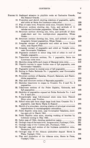### CONTENTS V

 $\epsilon$ 

|  | FIGURE 15. Scalloped abrasion in phyllitic rocks at Cachoeira Grande,                                                                                       |
|--|-------------------------------------------------------------------------------------------------------------------------------------------------------------|
|  | 16. Projection and sketch showing relations of pegmatite, aplite,<br>and schist at Serra dos Lourenços mica mine                                            |
|  | 17. Plan of main level, Forattini mica mine, Cruzeiro district                                                                                              |
|  | 18. Structure sections showing size, form, and attitude of 11<br>tabular and lenticular pegmatites, Minas Gerais                                            |
|  | 19. Structure sections showing size, form, and attitude of three<br>single-sheet and two multiple-sheet pegmatites, Minas                                   |
|  | 20. Structure sections showing size, form, and attitude of eight<br>irregularly formed pegmatites, Minas Gerais                                             |
|  | 21. Irregular contact of pegmatite and schist at lower Urubu<br>mine, neas Espera Feliz                                                                     |
|  | 22. Irregular contact of pegmatite and schist at Carajáu mine,<br>near Governador Valadares                                                                 |
|  | 23. Pegmatite enclosed in minor drag fold of schist in roof of                                                                                              |
|  | 24. Transverse structure sections, No. 1 pegmatite, Serra dos                                                                                               |
|  | 25. Sketches along drifts and stopes of Bananal mica mine                                                                                                   |
|  | 26. Granitic texture in upper border zone of Ipê pegmatite, near<br>Governador Valadares                                                                    |
|  | 27. Pegmatite texture in central zone of Ipê pegmatite<br>28. Zoning in Pedra Redonda No. 1 pegmatite, near Governador                                      |
|  | 29. Structure sections of Zacarias, Pequeri, Saracura, and Fazen-                                                                                           |
|  | 30. Plan and structure section of Sapucaia pegmatite                                                                                                        |
|  | 31. Sketches transverse to stopes in Cruzeiro No. 2 and No. 3                                                                                               |
|  | 32. Transverse sections of the Pedro Espirito, Golconda, and                                                                                                |
|  | 33. Sketches of pegmatites exposed at Pedra Redonda No. 1 and                                                                                               |
|  | 34. Exceptionally large full-trimmed sheet mica from Manoel                                                                                                 |
|  | 35. Rifted mica split from single large book from Cruzeiro No. 1<br>pegmatite, near Santa Maria do Suassuf                                                  |
|  | 36. Sketch of a mica plate, showing relation of principal structural<br>imperfections to crystallographic orientation                                       |
|  | 37. Pedro Espirito mica mine, near Governador Valadares, show-<br>ing open pit in March 1944<br>38. Pedro Espirito mica mine, showing working of benches by |
|  | bulldozer mining in May 1945<br>39. Index map of Chile, showing quicksilver region                                                                          |
|  | 40. Geologic map of the main level, Azogues mine, Punitaqui, Chile.                                                                                         |
|  | 41. Geologic map of the Culebra adit, Punitaqui, Chile                                                                                                      |
|  | 42. Geologic map and section of the Luisiana quicksilver mine,                                                                                              |
|  | 43. Geologic map of the Alianza quicksilver deposit Sierra la<br>Plata, Copiapó, Chile                                                                      |
|  | 44. Plan and projection of the Alianza mine, Sierra la Plata,                                                                                               |

o

ï

Page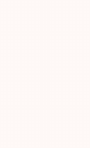$\label{eq:2.1} \frac{1}{\sqrt{2}}\int_{\mathbb{R}^3}\frac{1}{\sqrt{2}}\left(\frac{1}{\sqrt{2}}\right)^2\frac{1}{\sqrt{2}}\left(\frac{1}{\sqrt{2}}\right)^2\frac{1}{\sqrt{2}}\left(\frac{1}{\sqrt{2}}\right)^2\frac{1}{\sqrt{2}}\left(\frac{1}{\sqrt{2}}\right)^2.$  $\Delta \sim 10^{11}$  km s  $^{-1}$  $\mathcal{L}(\mathcal{L}(\mathcal{L}))$  and  $\mathcal{L}(\mathcal{L}(\mathcal{L}))$  . The contribution of  $\mathcal{L}(\mathcal{L})$  $\mathcal{L}(\mathcal{L}^{\mathcal{L}}(\mathcal{L}^{\mathcal{L}}(\mathcal{L}^{\mathcal{L}}(\mathcal{L}^{\mathcal{L}}(\mathcal{L}^{\mathcal{L}}(\mathcal{L}^{\mathcal{L}}(\mathcal{L}^{\mathcal{L}}(\mathcal{L}^{\mathcal{L}}(\mathcal{L}^{\mathcal{L}}(\mathcal{L}^{\mathcal{L}}(\mathcal{L}^{\mathcal{L}}(\mathcal{L}^{\mathcal{L}}(\mathcal{L}^{\mathcal{L}}(\mathcal{L}^{\mathcal{L}}(\mathcal{L}^{\mathcal{L}}(\mathcal{L}^{\mathcal{L}}(\mathcal{L}$  $\mathcal{L}^{\text{max}}_{\text{max}}$  ,  $\mathcal{L}^{\text{max}}_{\text{max}}$  $\mathcal{L}^{\mathcal{L}}(\mathcal{L}^{\mathcal{L}})$  and  $\mathcal{L}^{\mathcal{L}}(\mathcal{L}^{\mathcal{L}})$  . In the case of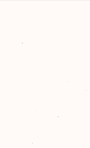$\langle \bullet \rangle$  $\label{eq:2.1} \frac{1}{\sqrt{2}}\left(\frac{1}{\sqrt{2}}\right)^{2} \left(\frac{1}{\sqrt{2}}\right)^{2} \left(\frac{1}{\sqrt{2}}\right)^{2} \left(\frac{1}{\sqrt{2}}\right)^{2} \left(\frac{1}{\sqrt{2}}\right)^{2} \left(\frac{1}{\sqrt{2}}\right)^{2} \left(\frac{1}{\sqrt{2}}\right)^{2} \left(\frac{1}{\sqrt{2}}\right)^{2} \left(\frac{1}{\sqrt{2}}\right)^{2} \left(\frac{1}{\sqrt{2}}\right)^{2} \left(\frac{1}{\sqrt{2}}\right)^{2} \left(\$  $\mathcal{L}^{\text{max}}_{\text{max}}$  and  $\mathcal{L}^{\text{max}}_{\text{max}}$  $\sim$  $\label{eq:2.1} \mathcal{L}(\mathcal{L}^{\mathcal{L}}_{\mathcal{L}}(\mathcal{L}^{\mathcal{L}}_{\mathcal{L}})) = \mathcal{L}(\mathcal{L}^{\mathcal{L}}_{\mathcal{L}}(\mathcal{L}^{\mathcal{L}}_{\mathcal{L}})) = \mathcal{L}(\mathcal{L}^{\mathcal{L}}_{\mathcal{L}}(\mathcal{L}^{\mathcal{L}}_{\mathcal{L}}))$  $\mathcal{L}^{\text{max}}(\mathbf{A})$  and  $\mathcal{L}^{\text{max}}(\mathbf{A})$ 

 $\ddot{\phantom{1}}$